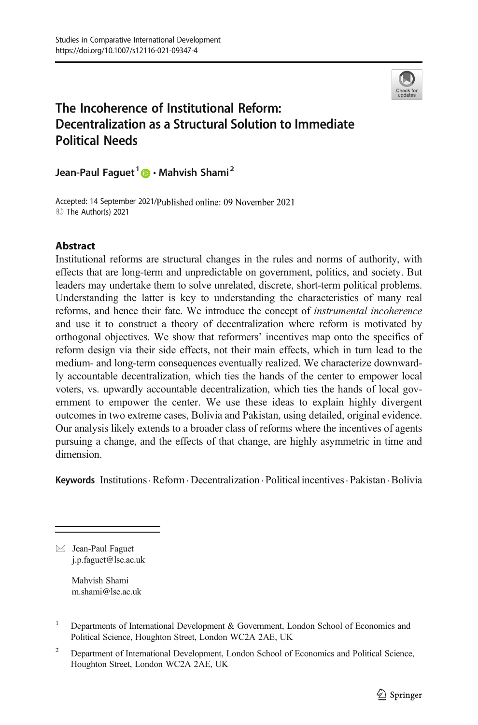

# The Incoherence of Institutional Reform: Decentralization as a Structural Solution to Immediate Political Needs

Jean-Paul Faguet<sup>1</sup> **D** · Mahvish Shami<sup>2</sup>

Accepted: 14 September 2021/Published online: 09 November 2021 C The Author(s) 2021

## Abstract

Institutional reforms are structural changes in the rules and norms of authority, with effects that are long-term and unpredictable on government, politics, and society. But leaders may undertake them to solve unrelated, discrete, short-term political problems. Understanding the latter is key to understanding the characteristics of many real reforms, and hence their fate. We introduce the concept of instrumental incoherence and use it to construct a theory of decentralization where reform is motivated by orthogonal objectives. We show that reformers' incentives map onto the specifics of reform design via their side effects, not their main effects, which in turn lead to the medium- and long-term consequences eventually realized. We characterize downwardly accountable decentralization, which ties the hands of the center to empower local voters, vs. upwardly accountable decentralization, which ties the hands of local government to empower the center. We use these ideas to explain highly divergent outcomes in two extreme cases, Bolivia and Pakistan, using detailed, original evidence. Our analysis likely extends to a broader class of reforms where the incentives of agents pursuing a change, and the effects of that change, are highly asymmetric in time and dimension.

Keywords Institutions Reform Decentralization . Political incentives . Pakistan . Bolivia

Mahvish Shami m.shami@lse.ac.uk

 $\boxtimes$  Jean-Paul Faguet [j.p.faguet@lse.ac.uk](mailto:j.p.faguet@lse.ac.uk)

<sup>&</sup>lt;sup>1</sup> Departments of International Development & Government, London School of Economics and Political Science, Houghton Street, London WC2A 2AE, UK

<sup>2</sup> Department of International Development, London School of Economics and Political Science, Houghton Street, London WC2A 2AE, UK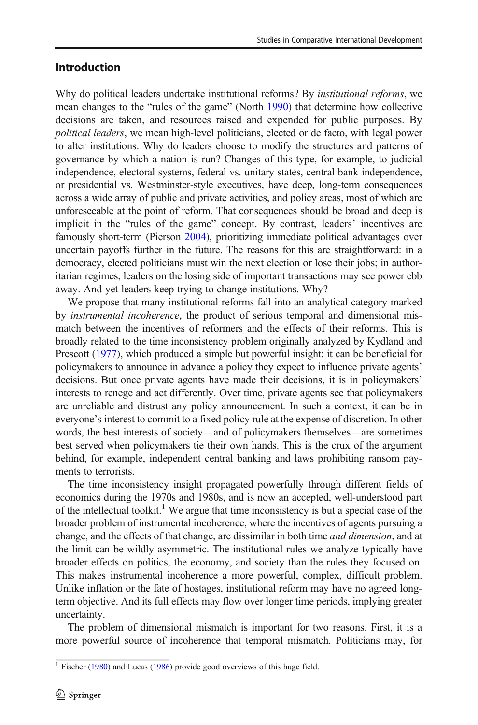## Introduction

Why do political leaders undertake institutional reforms? By *institutional reforms*, we mean changes to the "rules of the game" (North [1990](#page-26-0)) that determine how collective decisions are taken, and resources raised and expended for public purposes. By political leaders, we mean high-level politicians, elected or de facto, with legal power to alter institutions. Why do leaders choose to modify the structures and patterns of governance by which a nation is run? Changes of this type, for example, to judicial independence, electoral systems, federal vs. unitary states, central bank independence, or presidential vs. Westminster-style executives, have deep, long-term consequences across a wide array of public and private activities, and policy areas, most of which are unforeseeable at the point of reform. That consequences should be broad and deep is implicit in the "rules of the game" concept. By contrast, leaders' incentives are famously short-term (Pierson [2004](#page-27-0)), prioritizing immediate political advantages over uncertain payoffs further in the future. The reasons for this are straightforward: in a democracy, elected politicians must win the next election or lose their jobs; in authoritarian regimes, leaders on the losing side of important transactions may see power ebb away. And yet leaders keep trying to change institutions. Why?

We propose that many institutional reforms fall into an analytical category marked by *instrumental incoherence*, the product of serious temporal and dimensional mismatch between the incentives of reformers and the effects of their reforms. This is broadly related to the time inconsistency problem originally analyzed by Kydland and Prescott ([1977](#page-26-0)), which produced a simple but powerful insight: it can be beneficial for policymakers to announce in advance a policy they expect to influence private agents' decisions. But once private agents have made their decisions, it is in policymakers' interests to renege and act differently. Over time, private agents see that policymakers are unreliable and distrust any policy announcement. In such a context, it can be in everyone's interest to commit to a fixed policy rule at the expense of discretion. In other words, the best interests of society—and of policymakers themselves—are sometimes best served when policymakers tie their own hands. This is the crux of the argument behind, for example, independent central banking and laws prohibiting ransom payments to terrorists.

The time inconsistency insight propagated powerfully through different fields of economics during the 1970s and 1980s, and is now an accepted, well-understood part of the intellectual toolkit.<sup>1</sup> We argue that time inconsistency is but a special case of the broader problem of instrumental incoherence, where the incentives of agents pursuing a change, and the effects of that change, are dissimilar in both time *and dimension*, and at the limit can be wildly asymmetric. The institutional rules we analyze typically have broader effects on politics, the economy, and society than the rules they focused on. This makes instrumental incoherence a more powerful, complex, difficult problem. Unlike inflation or the fate of hostages, institutional reform may have no agreed longterm objective. And its full effects may flow over longer time periods, implying greater uncertainty.

The problem of dimensional mismatch is important for two reasons. First, it is a more powerful source of incoherence that temporal mismatch. Politicians may, for

<sup>&</sup>lt;sup>1</sup> Fischer ([1980\)](#page-26-0) and Lucas ([1986](#page-26-0)) provide good overviews of this huge field.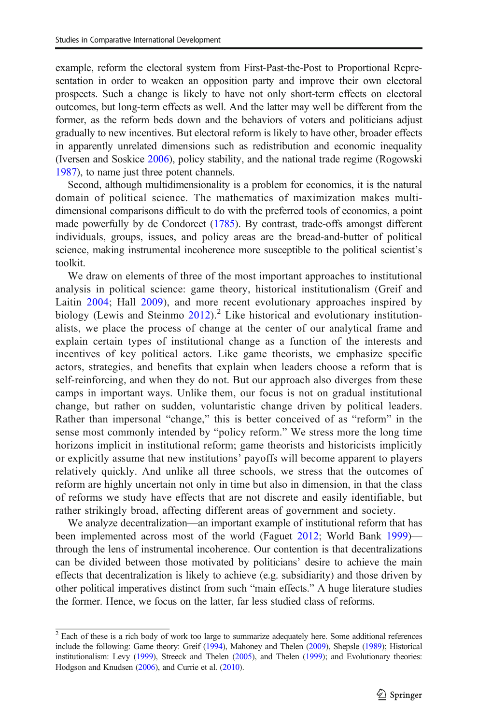example, reform the electoral system from First-Past-the-Post to Proportional Representation in order to weaken an opposition party and improve their own electoral prospects. Such a change is likely to have not only short-term effects on electoral outcomes, but long-term effects as well. And the latter may well be different from the former, as the reform beds down and the behaviors of voters and politicians adjust gradually to new incentives. But electoral reform is likely to have other, broader effects in apparently unrelated dimensions such as redistribution and economic inequality (Iversen and Soskice [2006](#page-26-0)), policy stability, and the national trade regime (Rogowski [1987\)](#page-27-0), to name just three potent channels.

Second, although multidimensionality is a problem for economics, it is the natural domain of political science. The mathematics of maximization makes multidimensional comparisons difficult to do with the preferred tools of economics, a point made powerfully by de Condorcet [\(1785\)](#page-25-0). By contrast, trade-offs amongst different individuals, groups, issues, and policy areas are the bread-and-butter of political science, making instrumental incoherence more susceptible to the political scientist's toolkit.

We draw on elements of three of the most important approaches to institutional analysis in political science: game theory, historical institutionalism (Greif and Laitin [2004](#page-26-0); Hall [2009](#page-26-0)), and more recent evolutionary approaches inspired by biology (Lewis and Steinmo  $2012$ ).<sup>2</sup> Like historical and evolutionary institutionalists, we place the process of change at the center of our analytical frame and explain certain types of institutional change as a function of the interests and incentives of key political actors. Like game theorists, we emphasize specific actors, strategies, and benefits that explain when leaders choose a reform that is self-reinforcing, and when they do not. But our approach also diverges from these camps in important ways. Unlike them, our focus is not on gradual institutional change, but rather on sudden, voluntaristic change driven by political leaders. Rather than impersonal "change," this is better conceived of as "reform" in the sense most commonly intended by "policy reform." We stress more the long time horizons implicit in institutional reform; game theorists and historicists implicitly or explicitly assume that new institutions' payoffs will become apparent to players relatively quickly. And unlike all three schools, we stress that the outcomes of reform are highly uncertain not only in time but also in dimension, in that the class of reforms we study have effects that are not discrete and easily identifiable, but rather strikingly broad, affecting different areas of government and society.

We analyze decentralization—an important example of institutional reform that has been implemented across most of the world (Faguet [2012](#page-25-0); World Bank [1999](#page-27-0)) through the lens of instrumental incoherence. Our contention is that decentralizations can be divided between those motivated by politicians' desire to achieve the main effects that decentralization is likely to achieve (e.g. subsidiarity) and those driven by other political imperatives distinct from such "main effects." A huge literature studies the former. Hence, we focus on the latter, far less studied class of reforms.

 $2$  Each of these is a rich body of work too large to summarize adequately here. Some additional references include the following: Game theory: Greif [\(1994\)](#page-26-0), Mahoney and Thelen [\(2009\)](#page-26-0), Shepsle ([1989](#page-27-0)); Historical institutionalism: Levy [\(1999\)](#page-26-0), Streeck and Thelen [\(2005\)](#page-27-0), and Thelen [\(1999\)](#page-27-0); and Evolutionary theories: Hodgson and Knudsen [\(2006\)](#page-26-0), and Currie et al. ([2010](#page-25-0)).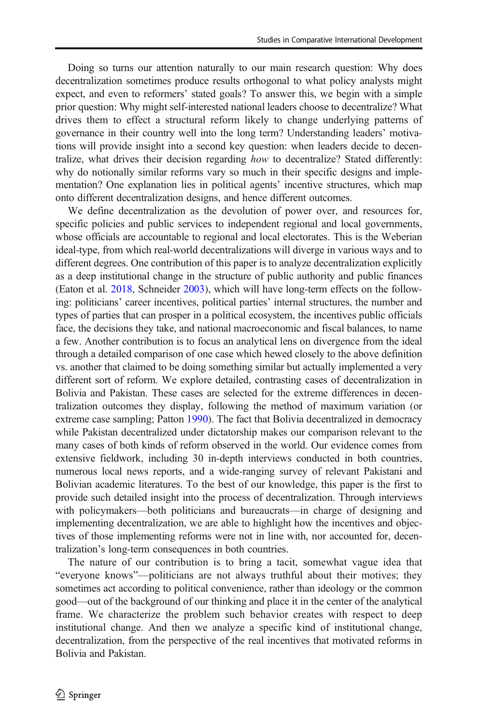Doing so turns our attention naturally to our main research question: Why does decentralization sometimes produce results orthogonal to what policy analysts might expect, and even to reformers' stated goals? To answer this, we begin with a simple prior question: Why might self-interested national leaders choose to decentralize? What drives them to effect a structural reform likely to change underlying patterns of governance in their country well into the long term? Understanding leaders' motivations will provide insight into a second key question: when leaders decide to decentralize, what drives their decision regarding how to decentralize? Stated differently: why do notionally similar reforms vary so much in their specific designs and implementation? One explanation lies in political agents' incentive structures, which map onto different decentralization designs, and hence different outcomes.

We define decentralization as the devolution of power over, and resources for, specific policies and public services to independent regional and local governments, whose officials are accountable to regional and local electorates. This is the Weberian ideal-type, from which real-world decentralizations will diverge in various ways and to different degrees. One contribution of this paper is to analyze decentralization explicitly as a deep institutional change in the structure of public authority and public finances (Eaton et al. [2018,](#page-25-0) Schneider [2003](#page-27-0)), which will have long-term effects on the following: politicians' career incentives, political parties' internal structures, the number and types of parties that can prosper in a political ecosystem, the incentives public officials face, the decisions they take, and national macroeconomic and fiscal balances, to name a few. Another contribution is to focus an analytical lens on divergence from the ideal through a detailed comparison of one case which hewed closely to the above definition vs. another that claimed to be doing something similar but actually implemented a very different sort of reform. We explore detailed, contrasting cases of decentralization in Bolivia and Pakistan. These cases are selected for the extreme differences in decentralization outcomes they display, following the method of maximum variation (or extreme case sampling; Patton [1990](#page-27-0)). The fact that Bolivia decentralized in democracy while Pakistan decentralized under dictatorship makes our comparison relevant to the many cases of both kinds of reform observed in the world. Our evidence comes from extensive fieldwork, including 30 in-depth interviews conducted in both countries, numerous local news reports, and a wide-ranging survey of relevant Pakistani and Bolivian academic literatures. To the best of our knowledge, this paper is the first to provide such detailed insight into the process of decentralization. Through interviews with policymakers—both politicians and bureaucrats—in charge of designing and implementing decentralization, we are able to highlight how the incentives and objectives of those implementing reforms were not in line with, nor accounted for, decentralization's long-term consequences in both countries.

The nature of our contribution is to bring a tacit, somewhat vague idea that "everyone knows"—politicians are not always truthful about their motives; they sometimes act according to political convenience, rather than ideology or the common good—out of the background of our thinking and place it in the center of the analytical frame. We characterize the problem such behavior creates with respect to deep institutional change. And then we analyze a specific kind of institutional change, decentralization, from the perspective of the real incentives that motivated reforms in Bolivia and Pakistan.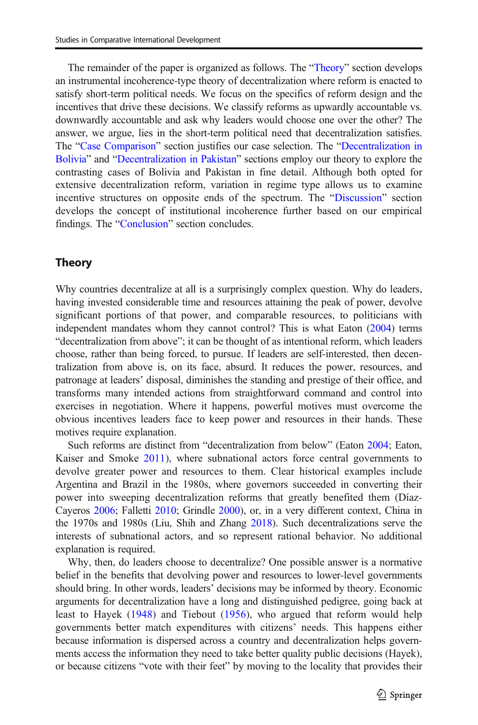The remainder of the paper is organized as follows. The "Theory" section develops an instrumental incoherence-type theory of decentralization where reform is enacted to satisfy short-term political needs. We focus on the specifics of reform design and the incentives that drive these decisions. We classify reforms as upwardly accountable vs. downwardly accountable and ask why leaders would choose one over the other? The answer, we argue, lies in the short-term political need that decentralization satisfies. The "[Case Comparison](#page-9-0)" section justifies our case selection. The "[Decentralization in](#page-10-0) [Bolivia](#page-10-0)" and "[Decentralization in Pakistan](#page-14-0)" sections employ our theory to explore the contrasting cases of Bolivia and Pakistan in fine detail. Although both opted for extensive decentralization reform, variation in regime type allows us to examine incentive structures on opposite ends of the spectrum. The "[Discussion](#page-19-0)" section develops the concept of institutional incoherence further based on our empirical findings. The "[Conclusion](#page-23-0)" section concludes.

### Theory

Why countries decentralize at all is a surprisingly complex question. Why do leaders, having invested considerable time and resources attaining the peak of power, devolve significant portions of that power, and comparable resources, to politicians with independent mandates whom they cannot control? This is what Eaton [\(2004\)](#page-25-0) terms "decentralization from above"; it can be thought of as intentional reform, which leaders choose, rather than being forced, to pursue. If leaders are self-interested, then decentralization from above is, on its face, absurd. It reduces the power, resources, and patronage at leaders' disposal, diminishes the standing and prestige of their office, and transforms many intended actions from straightforward command and control into exercises in negotiation. Where it happens, powerful motives must overcome the obvious incentives leaders face to keep power and resources in their hands. These motives require explanation.

Such reforms are distinct from "decentralization from below" (Eaton [2004](#page-25-0); Eaton, Kaiser and Smoke [2011](#page-25-0)), where subnational actors force central governments to devolve greater power and resources to them. Clear historical examples include Argentina and Brazil in the 1980s, where governors succeeded in converting their power into sweeping decentralization reforms that greatly benefited them (Díaz-Cayeros [2006;](#page-25-0) Falletti [2010](#page-25-0); Grindle [2000\)](#page-26-0), or, in a very different context, China in the 1970s and 1980s (Liu, Shih and Zhang [2018](#page-26-0)). Such decentralizations serve the interests of subnational actors, and so represent rational behavior. No additional explanation is required.

Why, then, do leaders choose to decentralize? One possible answer is a normative belief in the benefits that devolving power and resources to lower-level governments should bring. In other words, leaders' decisions may be informed by theory. Economic arguments for decentralization have a long and distinguished pedigree, going back at least to Hayek [\(1948](#page-26-0)) and Tiebout [\(1956](#page-27-0)), who argued that reform would help governments better match expenditures with citizens' needs. This happens either because information is dispersed across a country and decentralization helps governments access the information they need to take better quality public decisions (Hayek), or because citizens "vote with their feet" by moving to the locality that provides their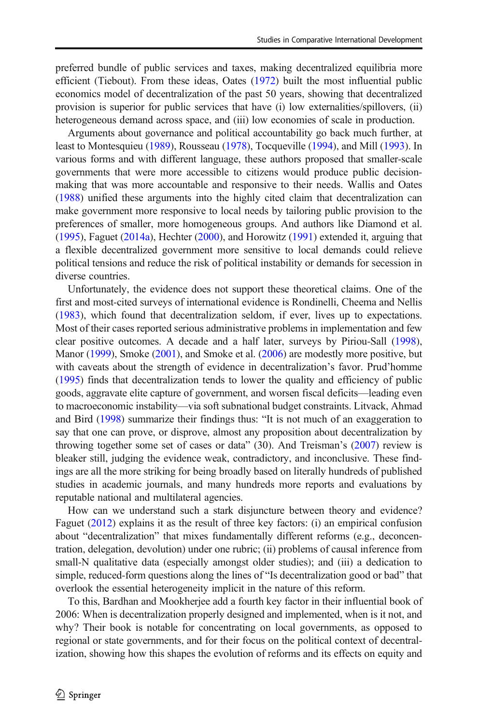preferred bundle of public services and taxes, making decentralized equilibria more efficient (Tiebout). From these ideas, Oates ([1972](#page-27-0)) built the most influential public economics model of decentralization of the past 50 years, showing that decentralized provision is superior for public services that have (i) low externalities/spillovers, (ii) heterogeneous demand across space, and (iii) low economies of scale in production.

Arguments about governance and political accountability go back much further, at least to Montesquieu [\(1989\)](#page-26-0), Rousseau [\(1978\)](#page-27-0), Tocqueville ([1994](#page-25-0)), and Mill ([1993](#page-26-0)). In various forms and with different language, these authors proposed that smaller-scale governments that were more accessible to citizens would produce public decisionmaking that was more accountable and responsive to their needs. Wallis and Oates [\(1988\)](#page-27-0) unified these arguments into the highly cited claim that decentralization can make government more responsive to local needs by tailoring public provision to the preferences of smaller, more homogeneous groups. And authors like Diamond et al. [\(1995\)](#page-25-0), Faguet ([2014a\)](#page-25-0), Hechter [\(2000\)](#page-26-0), and Horowitz ([1991](#page-26-0)) extended it, arguing that a flexible decentralized government more sensitive to local demands could relieve political tensions and reduce the risk of political instability or demands for secession in diverse countries.

Unfortunately, the evidence does not support these theoretical claims. One of the first and most-cited surveys of international evidence is Rondinelli, Cheema and Nellis [\(1983\)](#page-27-0), which found that decentralization seldom, if ever, lives up to expectations. Most of their cases reported serious administrative problems in implementation and few clear positive outcomes. A decade and a half later, surveys by Piriou-Sall [\(1998\)](#page-27-0), Manor ([1999](#page-26-0)), Smoke ([2001](#page-27-0)), and Smoke et al. ([2006](#page-27-0)) are modestly more positive, but with caveats about the strength of evidence in decentralization's favor. Prud'homme [\(1995\)](#page-27-0) finds that decentralization tends to lower the quality and efficiency of public goods, aggravate elite capture of government, and worsen fiscal deficits—leading even to macroeconomic instability—via soft subnational budget constraints. Litvack, Ahmad and Bird ([1998](#page-26-0)) summarize their findings thus: "It is not much of an exaggeration to say that one can prove, or disprove, almost any proposition about decentralization by throwing together some set of cases or data" (30). And Treisman's ([2007](#page-27-0)) review is bleaker still, judging the evidence weak, contradictory, and inconclusive. These findings are all the more striking for being broadly based on literally hundreds of published studies in academic journals, and many hundreds more reports and evaluations by reputable national and multilateral agencies.

How can we understand such a stark disjuncture between theory and evidence? Faguet ([2012](#page-25-0)) explains it as the result of three key factors: (i) an empirical confusion about "decentralization" that mixes fundamentally different reforms (e.g., deconcentration, delegation, devolution) under one rubric; (ii) problems of causal inference from small-N qualitative data (especially amongst older studies); and (iii) a dedication to simple, reduced-form questions along the lines of "Is decentralization good or bad" that overlook the essential heterogeneity implicit in the nature of this reform.

To this, Bardhan and Mookherjee add a fourth key factor in their influential book of 2006: When is decentralization properly designed and implemented, when is it not, and why? Their book is notable for concentrating on local governments, as opposed to regional or state governments, and for their focus on the political context of decentralization, showing how this shapes the evolution of reforms and its effects on equity and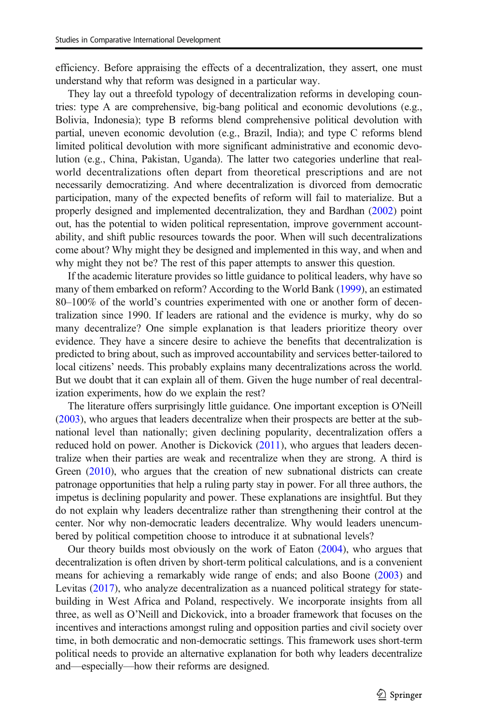efficiency. Before appraising the effects of a decentralization, they assert, one must understand why that reform was designed in a particular way.

They lay out a threefold typology of decentralization reforms in developing countries: type A are comprehensive, big-bang political and economic devolutions (e.g., Bolivia, Indonesia); type B reforms blend comprehensive political devolution with partial, uneven economic devolution (e.g., Brazil, India); and type C reforms blend limited political devolution with more significant administrative and economic devolution (e.g., China, Pakistan, Uganda). The latter two categories underline that realworld decentralizations often depart from theoretical prescriptions and are not necessarily democratizing. And where decentralization is divorced from democratic participation, many of the expected benefits of reform will fail to materialize. But a properly designed and implemented decentralization, they and Bardhan [\(2002\)](#page-25-0) point out, has the potential to widen political representation, improve government accountability, and shift public resources towards the poor. When will such decentralizations come about? Why might they be designed and implemented in this way, and when and why might they not be? The rest of this paper attempts to answer this question.

If the academic literature provides so little guidance to political leaders, why have so many of them embarked on reform? According to the World Bank ([1999](#page-27-0)), an estimated 80–100% of the world's countries experimented with one or another form of decentralization since 1990. If leaders are rational and the evidence is murky, why do so many decentralize? One simple explanation is that leaders prioritize theory over evidence. They have a sincere desire to achieve the benefits that decentralization is predicted to bring about, such as improved accountability and services better-tailored to local citizens' needs. This probably explains many decentralizations across the world. But we doubt that it can explain all of them. Given the huge number of real decentralization experiments, how do we explain the rest?

The literature offers surprisingly little guidance. One important exception is O'Neill [\(2003\)](#page-27-0), who argues that leaders decentralize when their prospects are better at the subnational level than nationally; given declining popularity, decentralization offers a reduced hold on power. Another is Dickovick [\(2011](#page-25-0)), who argues that leaders decentralize when their parties are weak and recentralize when they are strong. A third is Green [\(2010\)](#page-26-0), who argues that the creation of new subnational districts can create patronage opportunities that help a ruling party stay in power. For all three authors, the impetus is declining popularity and power. These explanations are insightful. But they do not explain why leaders decentralize rather than strengthening their control at the center. Nor why non-democratic leaders decentralize. Why would leaders unencumbered by political competition choose to introduce it at subnational levels?

Our theory builds most obviously on the work of Eaton ([2004](#page-25-0)), who argues that decentralization is often driven by short-term political calculations, and is a convenient means for achieving a remarkably wide range of ends; and also Boone ([2003](#page-25-0)) and Levitas ([2017](#page-26-0)), who analyze decentralization as a nuanced political strategy for statebuilding in West Africa and Poland, respectively. We incorporate insights from all three, as well as O'Neill and Dickovick, into a broader framework that focuses on the incentives and interactions amongst ruling and opposition parties and civil society over time, in both democratic and non-democratic settings. This framework uses short-term political needs to provide an alternative explanation for both why leaders decentralize and—especially—how their reforms are designed.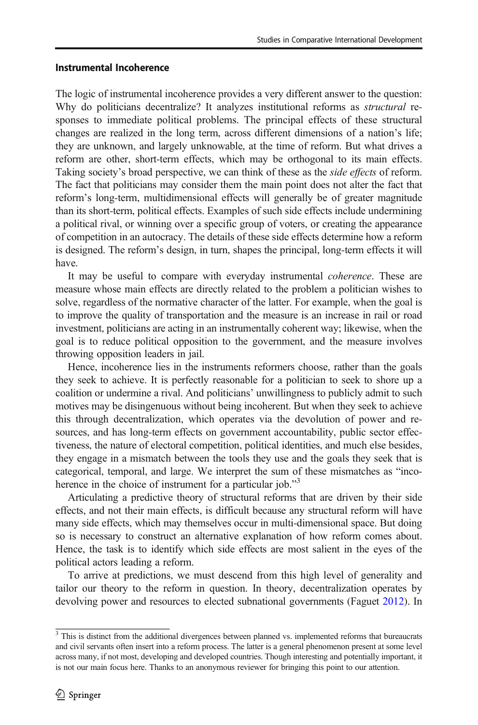## Instrumental Incoherence

The logic of instrumental incoherence provides a very different answer to the question: Why do politicians decentralize? It analyzes institutional reforms as *structural* responses to immediate political problems. The principal effects of these structural changes are realized in the long term, across different dimensions of a nation's life; they are unknown, and largely unknowable, at the time of reform. But what drives a reform are other, short-term effects, which may be orthogonal to its main effects. Taking society's broad perspective, we can think of these as the *side effects* of reform. The fact that politicians may consider them the main point does not alter the fact that reform's long-term, multidimensional effects will generally be of greater magnitude than its short-term, political effects. Examples of such side effects include undermining a political rival, or winning over a specific group of voters, or creating the appearance of competition in an autocracy. The details of these side effects determine how a reform is designed. The reform's design, in turn, shapes the principal, long-term effects it will have.

It may be useful to compare with everyday instrumental coherence. These are measure whose main effects are directly related to the problem a politician wishes to solve, regardless of the normative character of the latter. For example, when the goal is to improve the quality of transportation and the measure is an increase in rail or road investment, politicians are acting in an instrumentally coherent way; likewise, when the goal is to reduce political opposition to the government, and the measure involves throwing opposition leaders in jail.

Hence, incoherence lies in the instruments reformers choose, rather than the goals they seek to achieve. It is perfectly reasonable for a politician to seek to shore up a coalition or undermine a rival. And politicians' unwillingness to publicly admit to such motives may be disingenuous without being incoherent. But when they seek to achieve this through decentralization, which operates via the devolution of power and resources, and has long-term effects on government accountability, public sector effectiveness, the nature of electoral competition, political identities, and much else besides, they engage in a mismatch between the tools they use and the goals they seek that is categorical, temporal, and large. We interpret the sum of these mismatches as "incoherence in the choice of instrument for a particular job."<sup>3</sup>

Articulating a predictive theory of structural reforms that are driven by their side effects, and not their main effects, is difficult because any structural reform will have many side effects, which may themselves occur in multi-dimensional space. But doing so is necessary to construct an alternative explanation of how reform comes about. Hence, the task is to identify which side effects are most salient in the eyes of the political actors leading a reform.

To arrive at predictions, we must descend from this high level of generality and tailor our theory to the reform in question. In theory, decentralization operates by devolving power and resources to elected subnational governments (Faguet [2012\)](#page-25-0). In

 $3$  This is distinct from the additional divergences between planned vs. implemented reforms that bureaucrats and civil servants often insert into a reform process. The latter is a general phenomenon present at some level across many, if not most, developing and developed countries. Though interesting and potentially important, it is not our main focus here. Thanks to an anonymous reviewer for bringing this point to our attention.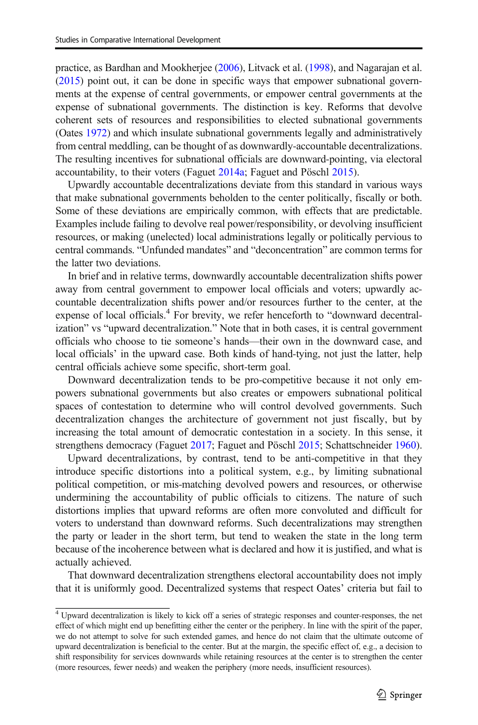practice, as Bardhan and Mookherjee ([2006](#page-25-0)), Litvack et al. ([1998](#page-26-0)), and Nagarajan et al. [\(2015\)](#page-26-0) point out, it can be done in specific ways that empower subnational governments at the expense of central governments, or empower central governments at the expense of subnational governments. The distinction is key. Reforms that devolve coherent sets of resources and responsibilities to elected subnational governments (Oates [1972](#page-27-0)) and which insulate subnational governments legally and administratively from central meddling, can be thought of as downwardly-accountable decentralizations. The resulting incentives for subnational officials are downward-pointing, via electoral accountability, to their voters (Faguet [2014a;](#page-25-0) Faguet and Pöschl [2015](#page-25-0)).

Upwardly accountable decentralizations deviate from this standard in various ways that make subnational governments beholden to the center politically, fiscally or both. Some of these deviations are empirically common, with effects that are predictable. Examples include failing to devolve real power/responsibility, or devolving insufficient resources, or making (unelected) local administrations legally or politically pervious to central commands. "Unfunded mandates" and "deconcentration" are common terms for the latter two deviations.

In brief and in relative terms, downwardly accountable decentralization shifts power away from central government to empower local officials and voters; upwardly accountable decentralization shifts power and/or resources further to the center, at the expense of local officials.<sup>4</sup> For brevity, we refer henceforth to "downward decentralization" vs "upward decentralization." Note that in both cases, it is central government officials who choose to tie someone's hands—their own in the downward case, and local officials' in the upward case. Both kinds of hand-tying, not just the latter, help central officials achieve some specific, short-term goal.

Downward decentralization tends to be pro-competitive because it not only empowers subnational governments but also creates or empowers subnational political spaces of contestation to determine who will control devolved governments. Such decentralization changes the architecture of government not just fiscally, but by increasing the total amount of democratic contestation in a society. In this sense, it strengthens democracy (Faguet [2017;](#page-25-0) Faguet and Pöschl [2015](#page-25-0); Schattschneider [1960\)](#page-27-0).

Upward decentralizations, by contrast, tend to be anti-competitive in that they introduce specific distortions into a political system, e.g., by limiting subnational political competition, or mis-matching devolved powers and resources, or otherwise undermining the accountability of public officials to citizens. The nature of such distortions implies that upward reforms are often more convoluted and difficult for voters to understand than downward reforms. Such decentralizations may strengthen the party or leader in the short term, but tend to weaken the state in the long term because of the incoherence between what is declared and how it is justified, and what is actually achieved.

That downward decentralization strengthens electoral accountability does not imply that it is uniformly good. Decentralized systems that respect Oates' criteria but fail to

<sup>4</sup> Upward decentralization is likely to kick off a series of strategic responses and counter-responses, the net effect of which might end up benefitting either the center or the periphery. In line with the spirit of the paper, we do not attempt to solve for such extended games, and hence do not claim that the ultimate outcome of upward decentralization is beneficial to the center. But at the margin, the specific effect of, e.g., a decision to shift responsibility for services downwards while retaining resources at the center is to strengthen the center (more resources, fewer needs) and weaken the periphery (more needs, insufficient resources).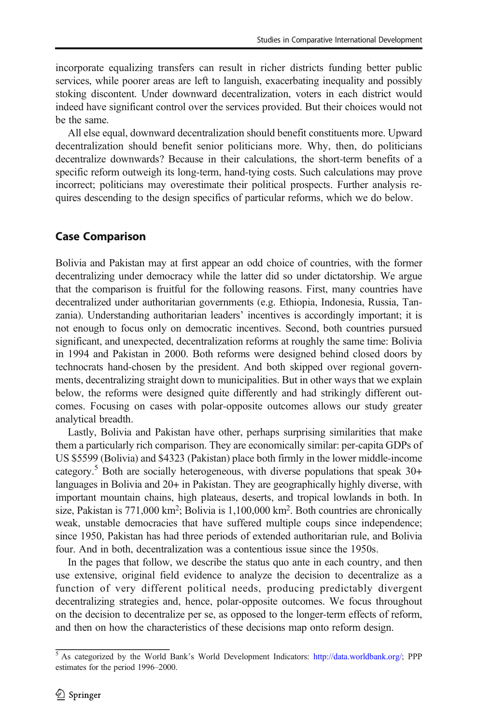<span id="page-9-0"></span>incorporate equalizing transfers can result in richer districts funding better public services, while poorer areas are left to languish, exacerbating inequality and possibly stoking discontent. Under downward decentralization, voters in each district would indeed have significant control over the services provided. But their choices would not be the same.

All else equal, downward decentralization should benefit constituents more. Upward decentralization should benefit senior politicians more. Why, then, do politicians decentralize downwards? Because in their calculations, the short-term benefits of a specific reform outweigh its long-term, hand-tying costs. Such calculations may prove incorrect; politicians may overestimate their political prospects. Further analysis requires descending to the design specifics of particular reforms, which we do below.

# Case Comparison

Bolivia and Pakistan may at first appear an odd choice of countries, with the former decentralizing under democracy while the latter did so under dictatorship. We argue that the comparison is fruitful for the following reasons. First, many countries have decentralized under authoritarian governments (e.g. Ethiopia, Indonesia, Russia, Tanzania). Understanding authoritarian leaders' incentives is accordingly important; it is not enough to focus only on democratic incentives. Second, both countries pursued significant, and unexpected, decentralization reforms at roughly the same time: Bolivia in 1994 and Pakistan in 2000. Both reforms were designed behind closed doors by technocrats hand-chosen by the president. And both skipped over regional governments, decentralizing straight down to municipalities. But in other ways that we explain below, the reforms were designed quite differently and had strikingly different outcomes. Focusing on cases with polar-opposite outcomes allows our study greater analytical breadth.

Lastly, Bolivia and Pakistan have other, perhaps surprising similarities that make them a particularly rich comparison. They are economically similar: per-capita GDPs of US \$5599 (Bolivia) and \$4323 (Pakistan) place both firmly in the lower middle-income category.<sup>5</sup> Both are socially heterogeneous, with diverse populations that speak  $30+$ languages in Bolivia and 20+ in Pakistan. They are geographically highly diverse, with important mountain chains, high plateaus, deserts, and tropical lowlands in both. In size, Pakistan is  $771,000 \text{ km}^2$ ; Bolivia is  $1,100,000 \text{ km}^2$ . Both countries are chronically weak, unstable democracies that have suffered multiple coups since independence; since 1950, Pakistan has had three periods of extended authoritarian rule, and Bolivia four. And in both, decentralization was a contentious issue since the 1950s.

In the pages that follow, we describe the status quo ante in each country, and then use extensive, original field evidence to analyze the decision to decentralize as a function of very different political needs, producing predictably divergent decentralizing strategies and, hence, polar-opposite outcomes. We focus throughout on the decision to decentralize per se, as opposed to the longer-term effects of reform, and then on how the characteristics of these decisions map onto reform design.

<sup>&</sup>lt;sup>5</sup> As categorized by the World Bank's World Development Indicators: <http://data.worldbank.org/>; PPP estimates for the period 1996–2000.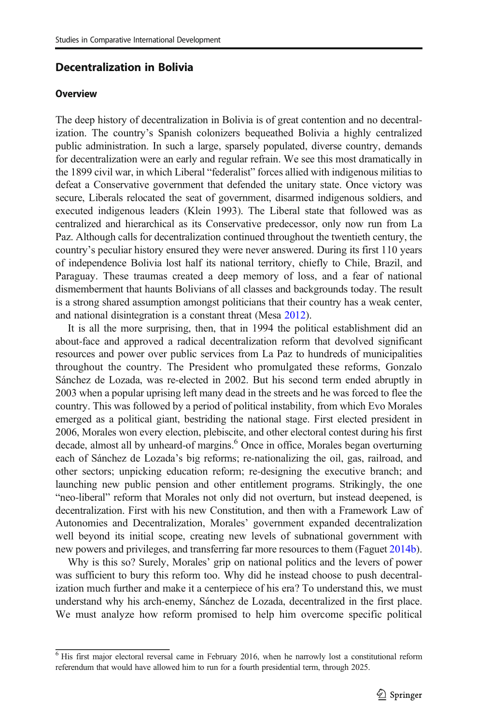## <span id="page-10-0"></span>Decentralization in Bolivia

#### **Overview**

The deep history of decentralization in Bolivia is of great contention and no decentralization. The country's Spanish colonizers bequeathed Bolivia a highly centralized public administration. In such a large, sparsely populated, diverse country, demands for decentralization were an early and regular refrain. We see this most dramatically in the 1899 civil war, in which Liberal "federalist" forces allied with indigenous militias to defeat a Conservative government that defended the unitary state. Once victory was secure, Liberals relocated the seat of government, disarmed indigenous soldiers, and executed indigenous leaders (Klein 1993). The Liberal state that followed was as centralized and hierarchical as its Conservative predecessor, only now run from La Paz. Although calls for decentralization continued throughout the twentieth century, the country's peculiar history ensured they were never answered. During its first 110 years of independence Bolivia lost half its national territory, chiefly to Chile, Brazil, and Paraguay. These traumas created a deep memory of loss, and a fear of national dismemberment that haunts Bolivians of all classes and backgrounds today. The result is a strong shared assumption amongst politicians that their country has a weak center, and national disintegration is a constant threat (Mesa [2012](#page-26-0)).

It is all the more surprising, then, that in 1994 the political establishment did an about-face and approved a radical decentralization reform that devolved significant resources and power over public services from La Paz to hundreds of municipalities throughout the country. The President who promulgated these reforms, Gonzalo Sánchez de Lozada, was re-elected in 2002. But his second term ended abruptly in 2003 when a popular uprising left many dead in the streets and he was forced to flee the country. This was followed by a period of political instability, from which Evo Morales emerged as a political giant, bestriding the national stage. First elected president in 2006, Morales won every election, plebiscite, and other electoral contest during his first decade, almost all by unheard-of margins.<sup>6</sup> Once in office, Morales began overturning each of Sánchez de Lozada's big reforms; re-nationalizing the oil, gas, railroad, and other sectors; unpicking education reform; re-designing the executive branch; and launching new public pension and other entitlement programs. Strikingly, the one "neo-liberal" reform that Morales not only did not overturn, but instead deepened, is decentralization. First with his new Constitution, and then with a Framework Law of Autonomies and Decentralization, Morales' government expanded decentralization well beyond its initial scope, creating new levels of subnational government with new powers and privileges, and transferring far more resources to them (Faguet [2014b\)](#page-25-0).

Why is this so? Surely, Morales' grip on national politics and the levers of power was sufficient to bury this reform too. Why did he instead choose to push decentralization much further and make it a centerpiece of his era? To understand this, we must understand why his arch-enemy, Sánchez de Lozada, decentralized in the first place. We must analyze how reform promised to help him overcome specific political

 $<sup>6</sup>$  His first major electoral reversal came in February 2016, when he narrowly lost a constitutional reform</sup> referendum that would have allowed him to run for a fourth presidential term, through 2025.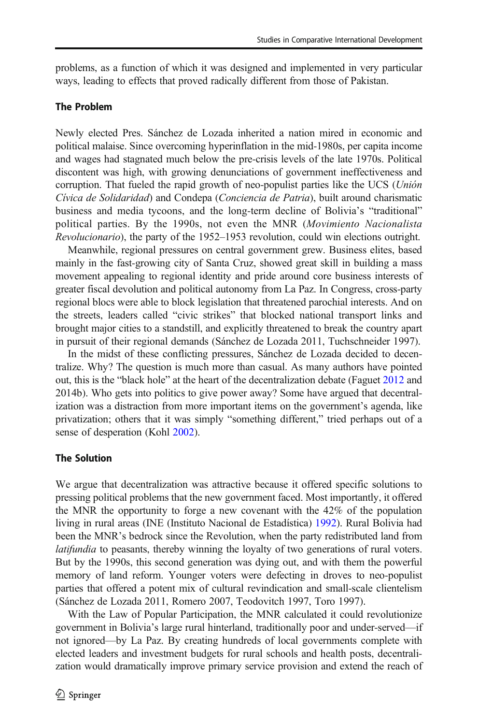problems, as a function of which it was designed and implemented in very particular ways, leading to effects that proved radically different from those of Pakistan.

#### The Problem

Newly elected Pres. Sánchez de Lozada inherited a nation mired in economic and political malaise. Since overcoming hyperinflation in the mid-1980s, per capita income and wages had stagnated much below the pre-crisis levels of the late 1970s. Political discontent was high, with growing denunciations of government ineffectiveness and corruption. That fueled the rapid growth of neo-populist parties like the UCS (Unión Cívica de Solidaridad) and Condepa (Conciencia de Patria), built around charismatic business and media tycoons, and the long-term decline of Bolivia's "traditional" political parties. By the 1990s, not even the MNR (Movimiento Nacionalista Revolucionario), the party of the 1952–1953 revolution, could win elections outright.

Meanwhile, regional pressures on central government grew. Business elites, based mainly in the fast-growing city of Santa Cruz, showed great skill in building a mass movement appealing to regional identity and pride around core business interests of greater fiscal devolution and political autonomy from La Paz. In Congress, cross-party regional blocs were able to block legislation that threatened parochial interests. And on the streets, leaders called "civic strikes" that blocked national transport links and brought major cities to a standstill, and explicitly threatened to break the country apart in pursuit of their regional demands (Sánchez de Lozada 2011, Tuchschneider 1997).

In the midst of these conflicting pressures, Sánchez de Lozada decided to decentralize. Why? The question is much more than casual. As many authors have pointed out, this is the "black hole" at the heart of the decentralization debate (Faguet [2012](#page-25-0) and 2014b). Who gets into politics to give power away? Some have argued that decentralization was a distraction from more important items on the government's agenda, like privatization; others that it was simply "something different," tried perhaps out of a sense of desperation (Kohl [2002\)](#page-26-0).

#### The Solution

We argue that decentralization was attractive because it offered specific solutions to pressing political problems that the new government faced. Most importantly, it offered the MNR the opportunity to forge a new covenant with the 42% of the population living in rural areas (INE (Instituto Nacional de Estadística) [1992](#page-26-0)). Rural Bolivia had been the MNR's bedrock since the Revolution, when the party redistributed land from latifundia to peasants, thereby winning the loyalty of two generations of rural voters. But by the 1990s, this second generation was dying out, and with them the powerful memory of land reform. Younger voters were defecting in droves to neo-populist parties that offered a potent mix of cultural revindication and small-scale clientelism (Sánchez de Lozada 2011, Romero 2007, Teodovitch 1997, Toro 1997).

With the Law of Popular Participation, the MNR calculated it could revolutionize government in Bolivia's large rural hinterland, traditionally poor and under-served—if not ignored—by La Paz. By creating hundreds of local governments complete with elected leaders and investment budgets for rural schools and health posts, decentralization would dramatically improve primary service provision and extend the reach of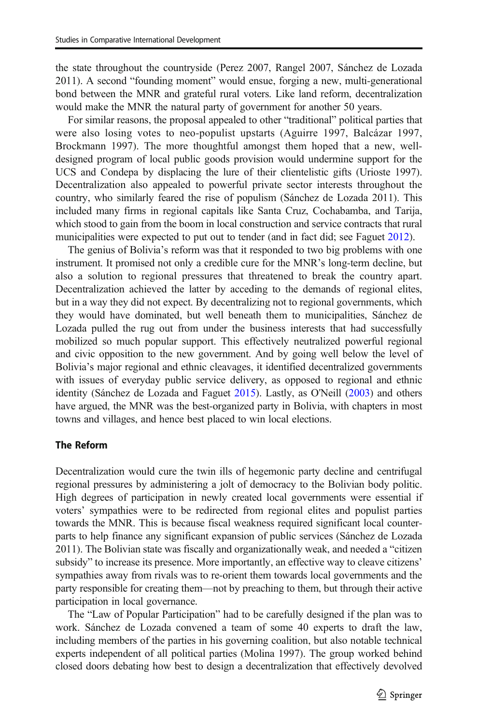the state throughout the countryside (Perez 2007, Rangel 2007, Sánchez de Lozada 2011). A second "founding moment" would ensue, forging a new, multi-generational bond between the MNR and grateful rural voters. Like land reform, decentralization would make the MNR the natural party of government for another 50 years.

For similar reasons, the proposal appealed to other "traditional" political parties that were also losing votes to neo-populist upstarts (Aguirre 1997, Balcázar 1997, Brockmann 1997). The more thoughtful amongst them hoped that a new, welldesigned program of local public goods provision would undermine support for the UCS and Condepa by displacing the lure of their clientelistic gifts (Urioste 1997). Decentralization also appealed to powerful private sector interests throughout the country, who similarly feared the rise of populism (Sánchez de Lozada 2011). This included many firms in regional capitals like Santa Cruz, Cochabamba, and Tarija, which stood to gain from the boom in local construction and service contracts that rural municipalities were expected to put out to tender (and in fact did; see Faguet [2012](#page-25-0)).

The genius of Bolivia's reform was that it responded to two big problems with one instrument. It promised not only a credible cure for the MNR's long-term decline, but also a solution to regional pressures that threatened to break the country apart. Decentralization achieved the latter by acceding to the demands of regional elites, but in a way they did not expect. By decentralizing not to regional governments, which they would have dominated, but well beneath them to municipalities, Sánchez de Lozada pulled the rug out from under the business interests that had successfully mobilized so much popular support. This effectively neutralized powerful regional and civic opposition to the new government. And by going well below the level of Bolivia's major regional and ethnic cleavages, it identified decentralized governments with issues of everyday public service delivery, as opposed to regional and ethnic identity (Sánchez de Lozada and Faguet [2015](#page-27-0)). Lastly, as O'Neill ([2003](#page-27-0)) and others have argued, the MNR was the best-organized party in Bolivia, with chapters in most towns and villages, and hence best placed to win local elections.

## The Reform

Decentralization would cure the twin ills of hegemonic party decline and centrifugal regional pressures by administering a jolt of democracy to the Bolivian body politic. High degrees of participation in newly created local governments were essential if voters' sympathies were to be redirected from regional elites and populist parties towards the MNR. This is because fiscal weakness required significant local counterparts to help finance any significant expansion of public services (Sánchez de Lozada 2011). The Bolivian state was fiscally and organizationally weak, and needed a "citizen subsidy" to increase its presence. More importantly, an effective way to cleave citizens' sympathies away from rivals was to re-orient them towards local governments and the party responsible for creating them—not by preaching to them, but through their active participation in local governance.

The "Law of Popular Participation" had to be carefully designed if the plan was to work. Sánchez de Lozada convened a team of some 40 experts to draft the law, including members of the parties in his governing coalition, but also notable technical experts independent of all political parties (Molina 1997). The group worked behind closed doors debating how best to design a decentralization that effectively devolved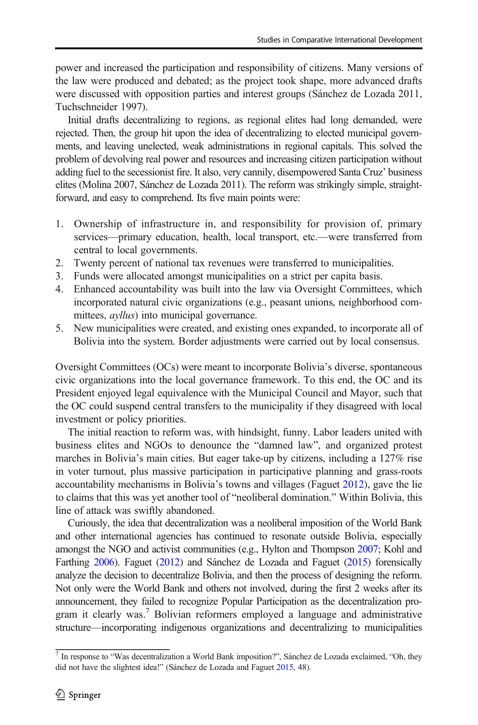power and increased the participation and responsibility of citizens. Many versions of the law were produced and debated; as the project took shape, more advanced drafts were discussed with opposition parties and interest groups (Sánchez de Lozada 2011, Tuchschneider 1997).

Initial drafts decentralizing to regions, as regional elites had long demanded, were rejected. Then, the group hit upon the idea of decentralizing to elected municipal governments, and leaving unelected, weak administrations in regional capitals. This solved the problem of devolving real power and resources and increasing citizen participation without adding fuel to the secessionist fire. It also, very cannily, disempowered Santa Cruz' business elites (Molina 2007, Sánchez de Lozada 2011). The reform was strikingly simple, straightforward, and easy to comprehend. Its five main points were:

- 1. Ownership of infrastructure in, and responsibility for provision of, primary services—primary education, health, local transport, etc.—were transferred from central to local governments.
- 2. Twenty percent of national tax revenues were transferred to municipalities.
- 3. Funds were allocated amongst municipalities on a strict per capita basis.
- 4. Enhanced accountability was built into the law via Oversight Committees, which incorporated natural civic organizations (e.g., peasant unions, neighborhood committees, *ayllus*) into municipal governance.
- 5. New municipalities were created, and existing ones expanded, to incorporate all of Bolivia into the system. Border adjustments were carried out by local consensus.

Oversight Committees (OCs) were meant to incorporate Bolivia's diverse, spontaneous civic organizations into the local governance framework. To this end, the OC and its President enjoyed legal equivalence with the Municipal Council and Mayor, such that the OC could suspend central transfers to the municipality if they disagreed with local investment or policy priorities.

The initial reaction to reform was, with hindsight, funny. Labor leaders united with business elites and NGOs to denounce the "damned law", and organized protest marches in Bolivia's main cities. But eager take-up by citizens, including a 127% rise in voter turnout, plus massive participation in participative planning and grass-roots accountability mechanisms in Bolivia's towns and villages (Faguet [2012\)](#page-25-0), gave the lie to claims that this was yet another tool of "neoliberal domination." Within Bolivia, this line of attack was swiftly abandoned.

Curiously, the idea that decentralization was a neoliberal imposition of the World Bank and other international agencies has continued to resonate outside Bolivia, especially amongst the NGO and activist communities (e.g., Hylton and Thompson [2007;](#page-26-0) Kohl and Farthing [2006](#page-26-0)). Faguet ([2012](#page-25-0)) and Sánchez de Lozada and Faguet [\(2015](#page-27-0)) forensically analyze the decision to decentralize Bolivia, and then the process of designing the reform. Not only were the World Bank and others not involved, during the first 2 weeks after its announcement, they failed to recognize Popular Participation as the decentralization program it clearly was.<sup>7</sup> Bolivian reformers employed a language and administrative structure—incorporating indigenous organizations and decentralizing to municipalities

<sup>7</sup> In response to "Was decentralization a World Bank imposition?", Sánchez de Lozada exclaimed, "Oh, they did not have the slightest idea!" (Sánchez de Lozada and Faguet [2015,](#page-27-0) 48).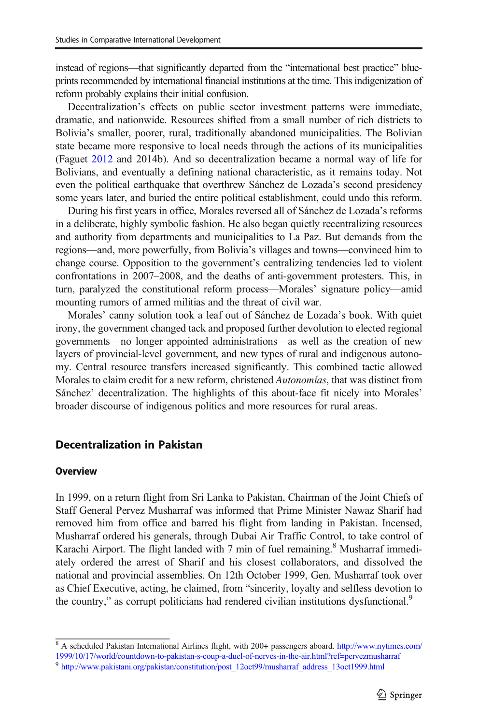<span id="page-14-0"></span>instead of regions—that significantly departed from the "international best practice" blueprints recommended by international financial institutions at the time. This indigenization of reform probably explains their initial confusion.

Decentralization's effects on public sector investment patterns were immediate, dramatic, and nationwide. Resources shifted from a small number of rich districts to Bolivia's smaller, poorer, rural, traditionally abandoned municipalities. The Bolivian state became more responsive to local needs through the actions of its municipalities (Faguet [2012](#page-25-0) and 2014b). And so decentralization became a normal way of life for Bolivians, and eventually a defining national characteristic, as it remains today. Not even the political earthquake that overthrew Sánchez de Lozada's second presidency some years later, and buried the entire political establishment, could undo this reform.

During his first years in office, Morales reversed all of Sánchez de Lozada's reforms in a deliberate, highly symbolic fashion. He also began quietly recentralizing resources and authority from departments and municipalities to La Paz. But demands from the regions—and, more powerfully, from Bolivia's villages and towns—convinced him to change course. Opposition to the government's centralizing tendencies led to violent confrontations in 2007–2008, and the deaths of anti-government protesters. This, in turn, paralyzed the constitutional reform process—Morales' signature policy—amid mounting rumors of armed militias and the threat of civil war.

Morales' canny solution took a leaf out of Sánchez de Lozada's book. With quiet irony, the government changed tack and proposed further devolution to elected regional governments—no longer appointed administrations—as well as the creation of new layers of provincial-level government, and new types of rural and indigenous autonomy. Central resource transfers increased significantly. This combined tactic allowed Morales to claim credit for a new reform, christened Autonomías, that was distinct from Sánchez' decentralization. The highlights of this about-face fit nicely into Morales' broader discourse of indigenous politics and more resources for rural areas.

## Decentralization in Pakistan

#### **Overview**

In 1999, on a return flight from Sri Lanka to Pakistan, Chairman of the Joint Chiefs of Staff General Pervez Musharraf was informed that Prime Minister Nawaz Sharif had removed him from office and barred his flight from landing in Pakistan. Incensed, Musharraf ordered his generals, through Dubai Air Traffic Control, to take control of Karachi Airport. The flight landed with  $7$  min of fuel remaining.<sup>8</sup> Musharraf immediately ordered the arrest of Sharif and his closest collaborators, and dissolved the national and provincial assemblies. On 12th October 1999, Gen. Musharraf took over as Chief Executive, acting, he claimed, from "sincerity, loyalty and selfless devotion to the country," as corrupt politicians had rendered civilian institutions dysfunctional.<sup>9</sup>

<sup>&</sup>lt;sup>8</sup> A scheduled Pakistan International Airlines flight, with 200+ passengers aboard. [http://www.nytimes.com/](http://www.nytimes.com/1999/10/17/world/countdown-to-pakistan-s-coup-a-duel-of-nerves-in-the-air.html?ref=pervezmusharraf) [1999/10/17/world/countdown-to-pakistan-s-coup-a-duel-of-nerves-in-the-air.html?ref=pervezmusharraf](http://www.nytimes.com/1999/10/17/world/countdown-to-pakistan-s-coup-a-duel-of-nerves-in-the-air.html?ref=pervezmusharraf)

<sup>&</sup>lt;sup>9</sup> [http://www.pakistani.org/pakistan/constitution/post\\_12oct99/musharraf\\_address\\_13oct1999.html](http://www.pakistani.org/pakistan/constitution/post_12oct99/musharraf_address_13oct1999.html)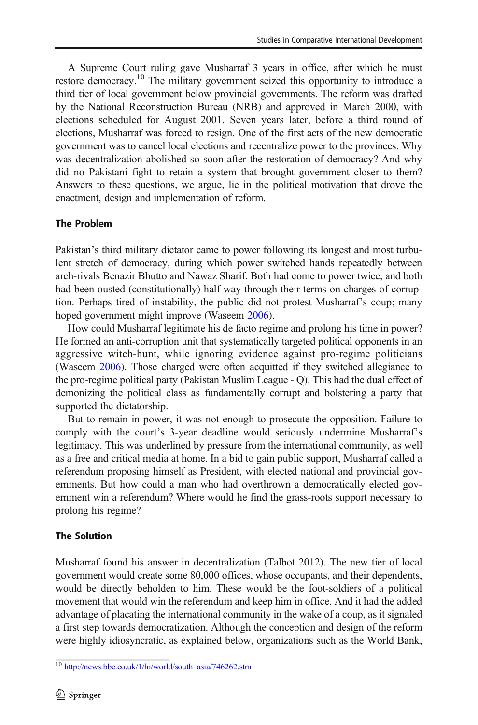A Supreme Court ruling gave Musharraf 3 years in office, after which he must restore democracy.<sup>10</sup> The military government seized this opportunity to introduce a third tier of local government below provincial governments. The reform was drafted by the National Reconstruction Bureau (NRB) and approved in March 2000, with elections scheduled for August 2001. Seven years later, before a third round of elections, Musharraf was forced to resign. One of the first acts of the new democratic government was to cancel local elections and recentralize power to the provinces. Why was decentralization abolished so soon after the restoration of democracy? And why did no Pakistani fight to retain a system that brought government closer to them? Answers to these questions, we argue, lie in the political motivation that drove the enactment, design and implementation of reform.

## The Problem

Pakistan's third military dictator came to power following its longest and most turbulent stretch of democracy, during which power switched hands repeatedly between arch-rivals Benazir Bhutto and Nawaz Sharif. Both had come to power twice, and both had been ousted (constitutionally) half-way through their terms on charges of corruption. Perhaps tired of instability, the public did not protest Musharraf's coup; many hoped government might improve (Waseem [2006](#page-27-0)).

How could Musharraf legitimate his de facto regime and prolong his time in power? He formed an anti-corruption unit that systematically targeted political opponents in an aggressive witch-hunt, while ignoring evidence against pro-regime politicians (Waseem [2006](#page-27-0)). Those charged were often acquitted if they switched allegiance to the pro-regime political party (Pakistan Muslim League - Q). This had the dual effect of demonizing the political class as fundamentally corrupt and bolstering a party that supported the dictatorship.

But to remain in power, it was not enough to prosecute the opposition. Failure to comply with the court's 3-year deadline would seriously undermine Musharraf's legitimacy. This was underlined by pressure from the international community, as well as a free and critical media at home. In a bid to gain public support, Musharraf called a referendum proposing himself as President, with elected national and provincial governments. But how could a man who had overthrown a democratically elected government win a referendum? Where would he find the grass-roots support necessary to prolong his regime?

## The Solution

Musharraf found his answer in decentralization (Talbot 2012). The new tier of local government would create some 80,000 offices, whose occupants, and their dependents, would be directly beholden to him. These would be the foot-soldiers of a political movement that would win the referendum and keep him in office. And it had the added advantage of placating the international community in the wake of a coup, as it signaled a first step towards democratization. Although the conception and design of the reform were highly idiosyncratic, as explained below, organizations such as the World Bank,

<sup>10</sup> [http://news.bbc.co.uk/1/hi/world/south\\_asia/746262.stm](http://news.bbc.co.uk/1/hi/world/south_asia/746262.stm)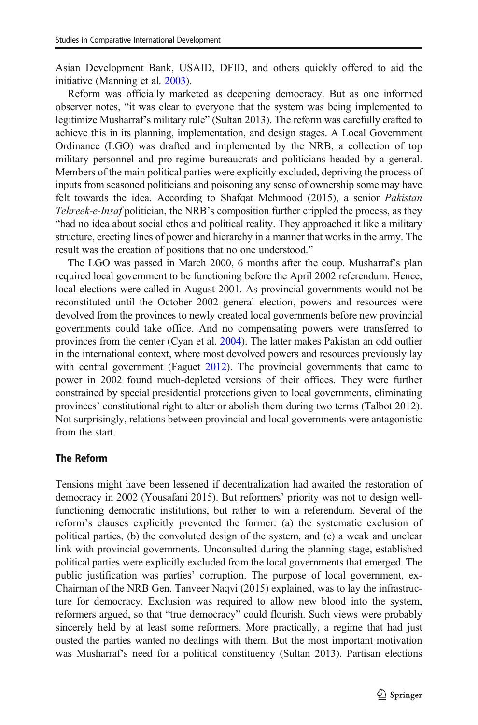Asian Development Bank, USAID, DFID, and others quickly offered to aid the initiative (Manning et al. [2003\)](#page-26-0).

Reform was officially marketed as deepening democracy. But as one informed observer notes, "it was clear to everyone that the system was being implemented to legitimize Musharraf's military rule" (Sultan 2013). The reform was carefully crafted to achieve this in its planning, implementation, and design stages. A Local Government Ordinance (LGO) was drafted and implemented by the NRB, a collection of top military personnel and pro-regime bureaucrats and politicians headed by a general. Members of the main political parties were explicitly excluded, depriving the process of inputs from seasoned politicians and poisoning any sense of ownership some may have felt towards the idea. According to Shafqat Mehmood (2015), a senior Pakistan Tehreek-e-Insaf politician, the NRB's composition further crippled the process, as they "had no idea about social ethos and political reality. They approached it like a military structure, erecting lines of power and hierarchy in a manner that works in the army. The result was the creation of positions that no one understood."

The LGO was passed in March 2000, 6 months after the coup. Musharraf's plan required local government to be functioning before the April 2002 referendum. Hence, local elections were called in August 2001. As provincial governments would not be reconstituted until the October 2002 general election, powers and resources were devolved from the provinces to newly created local governments before new provincial governments could take office. And no compensating powers were transferred to provinces from the center (Cyan et al. [2004\)](#page-25-0). The latter makes Pakistan an odd outlier in the international context, where most devolved powers and resources previously lay with central government (Faguet [2012](#page-25-0)). The provincial governments that came to power in 2002 found much-depleted versions of their offices. They were further constrained by special presidential protections given to local governments, eliminating provinces' constitutional right to alter or abolish them during two terms (Talbot 2012). Not surprisingly, relations between provincial and local governments were antagonistic from the start.

#### The Reform

Tensions might have been lessened if decentralization had awaited the restoration of democracy in 2002 (Yousafani 2015). But reformers' priority was not to design wellfunctioning democratic institutions, but rather to win a referendum. Several of the reform's clauses explicitly prevented the former: (a) the systematic exclusion of political parties, (b) the convoluted design of the system, and (c) a weak and unclear link with provincial governments. Unconsulted during the planning stage, established political parties were explicitly excluded from the local governments that emerged. The public justification was parties' corruption. The purpose of local government, ex-Chairman of the NRB Gen. Tanveer Naqvi (2015) explained, was to lay the infrastructure for democracy. Exclusion was required to allow new blood into the system, reformers argued, so that "true democracy" could flourish. Such views were probably sincerely held by at least some reformers. More practically, a regime that had just ousted the parties wanted no dealings with them. But the most important motivation was Musharraf's need for a political constituency (Sultan 2013). Partisan elections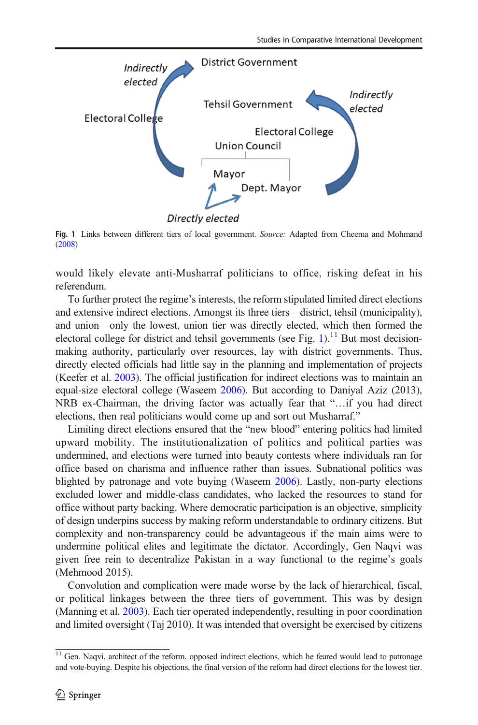

Fig. 1 Links between different tiers of local government. Source: Adapted from Cheema and Mohmand ([2008\)](#page-25-0)

would likely elevate anti-Musharraf politicians to office, risking defeat in his referendum.

To further protect the regime's interests, the reform stipulated limited direct elections and extensive indirect elections. Amongst its three tiers—district, tehsil (municipality), and union—only the lowest, union tier was directly elected, which then formed the electoral college for district and tehsil governments (see Fig.  $1$ ).<sup>11</sup> But most decisionmaking authority, particularly over resources, lay with district governments. Thus, directly elected officials had little say in the planning and implementation of projects (Keefer et al. [2003\)](#page-26-0). The official justification for indirect elections was to maintain an equal-size electoral college (Waseem [2006](#page-27-0)). But according to Daniyal Aziz (2013), NRB ex-Chairman, the driving factor was actually fear that "…if you had direct elections, then real politicians would come up and sort out Musharraf."

Limiting direct elections ensured that the "new blood" entering politics had limited upward mobility. The institutionalization of politics and political parties was undermined, and elections were turned into beauty contests where individuals ran for office based on charisma and influence rather than issues. Subnational politics was blighted by patronage and vote buying (Waseem [2006\)](#page-27-0). Lastly, non-party elections excluded lower and middle-class candidates, who lacked the resources to stand for office without party backing. Where democratic participation is an objective, simplicity of design underpins success by making reform understandable to ordinary citizens. But complexity and non-transparency could be advantageous if the main aims were to undermine political elites and legitimate the dictator. Accordingly, Gen Naqvi was given free rein to decentralize Pakistan in a way functional to the regime's goals (Mehmood 2015).

Convolution and complication were made worse by the lack of hierarchical, fiscal, or political linkages between the three tiers of government. This was by design (Manning et al. [2003\)](#page-26-0). Each tier operated independently, resulting in poor coordination and limited oversight (Taj 2010). It was intended that oversight be exercised by citizens

<sup>&</sup>lt;sup>11</sup> Gen. Naqvi, architect of the reform, opposed indirect elections, which he feared would lead to patronage and vote-buying. Despite his objections, the final version of the reform had direct elections for the lowest tier.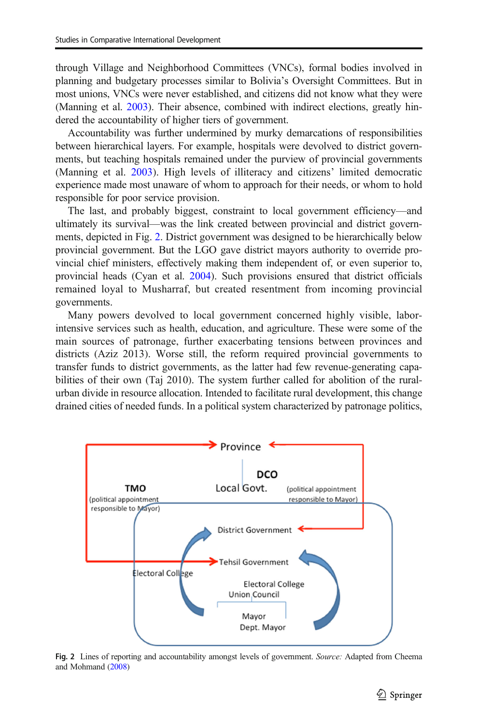through Village and Neighborhood Committees (VNCs), formal bodies involved in planning and budgetary processes similar to Bolivia's Oversight Committees. But in most unions, VNCs were never established, and citizens did not know what they were (Manning et al. [2003](#page-26-0)). Their absence, combined with indirect elections, greatly hindered the accountability of higher tiers of government.

Accountability was further undermined by murky demarcations of responsibilities between hierarchical layers. For example, hospitals were devolved to district governments, but teaching hospitals remained under the purview of provincial governments (Manning et al. [2003\)](#page-26-0). High levels of illiteracy and citizens' limited democratic experience made most unaware of whom to approach for their needs, or whom to hold responsible for poor service provision.

The last, and probably biggest, constraint to local government efficiency—and ultimately its survival—was the link created between provincial and district governments, depicted in Fig. 2. District government was designed to be hierarchically below provincial government. But the LGO gave district mayors authority to override provincial chief ministers, effectively making them independent of, or even superior to, provincial heads (Cyan et al. [2004\)](#page-25-0). Such provisions ensured that district officials remained loyal to Musharraf, but created resentment from incoming provincial governments.

Many powers devolved to local government concerned highly visible, laborintensive services such as health, education, and agriculture. These were some of the main sources of patronage, further exacerbating tensions between provinces and districts (Aziz 2013). Worse still, the reform required provincial governments to transfer funds to district governments, as the latter had few revenue-generating capabilities of their own (Taj 2010). The system further called for abolition of the ruralurban divide in resource allocation. Intended to facilitate rural development, this change drained cities of needed funds. In a political system characterized by patronage politics,



Fig. 2 Lines of reporting and accountability amongst levels of government. Source: Adapted from Cheema and Mohmand [\(2008\)](#page-25-0)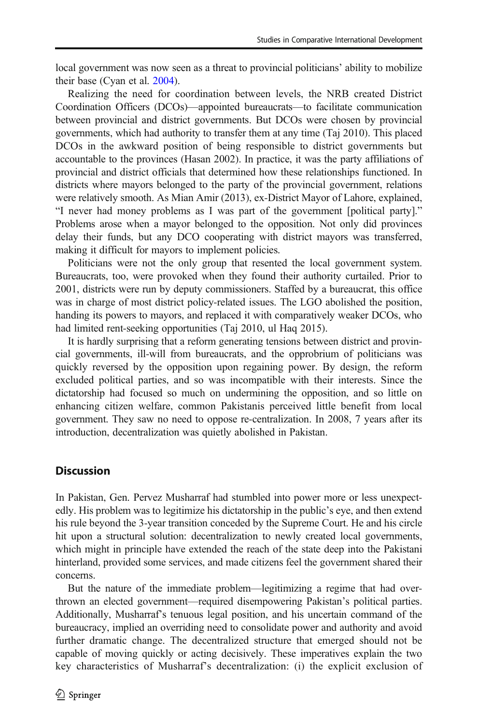<span id="page-19-0"></span>local government was now seen as a threat to provincial politicians' ability to mobilize their base (Cyan et al. [2004](#page-25-0)).

Realizing the need for coordination between levels, the NRB created District Coordination Officers (DCOs)—appointed bureaucrats—to facilitate communication between provincial and district governments. But DCOs were chosen by provincial governments, which had authority to transfer them at any time (Taj 2010). This placed DCOs in the awkward position of being responsible to district governments but accountable to the provinces (Hasan 2002). In practice, it was the party affiliations of provincial and district officials that determined how these relationships functioned. In districts where mayors belonged to the party of the provincial government, relations were relatively smooth. As Mian Amir (2013), ex-District Mayor of Lahore, explained, "I never had money problems as I was part of the government [political party]." Problems arose when a mayor belonged to the opposition. Not only did provinces delay their funds, but any DCO cooperating with district mayors was transferred, making it difficult for mayors to implement policies.

Politicians were not the only group that resented the local government system. Bureaucrats, too, were provoked when they found their authority curtailed. Prior to 2001, districts were run by deputy commissioners. Staffed by a bureaucrat, this office was in charge of most district policy-related issues. The LGO abolished the position, handing its powers to mayors, and replaced it with comparatively weaker DCOs, who had limited rent-seeking opportunities (Taj 2010, ul Haq 2015).

It is hardly surprising that a reform generating tensions between district and provincial governments, ill-will from bureaucrats, and the opprobrium of politicians was quickly reversed by the opposition upon regaining power. By design, the reform excluded political parties, and so was incompatible with their interests. Since the dictatorship had focused so much on undermining the opposition, and so little on enhancing citizen welfare, common Pakistanis perceived little benefit from local government. They saw no need to oppose re-centralization. In 2008, 7 years after its introduction, decentralization was quietly abolished in Pakistan.

# **Discussion**

In Pakistan, Gen. Pervez Musharraf had stumbled into power more or less unexpectedly. His problem was to legitimize his dictatorship in the public's eye, and then extend his rule beyond the 3-year transition conceded by the Supreme Court. He and his circle hit upon a structural solution: decentralization to newly created local governments, which might in principle have extended the reach of the state deep into the Pakistani hinterland, provided some services, and made citizens feel the government shared their concerns.

But the nature of the immediate problem—legitimizing a regime that had overthrown an elected government—required disempowering Pakistan's political parties. Additionally, Musharraf's tenuous legal position, and his uncertain command of the bureaucracy, implied an overriding need to consolidate power and authority and avoid further dramatic change. The decentralized structure that emerged should not be capable of moving quickly or acting decisively. These imperatives explain the two key characteristics of Musharraf's decentralization: (i) the explicit exclusion of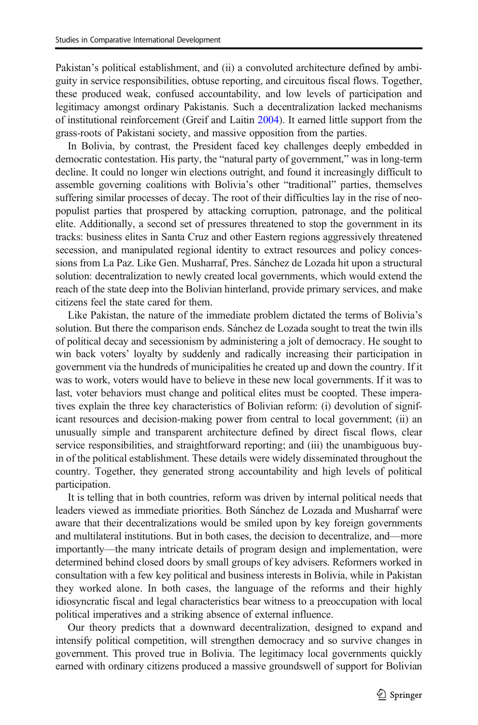Pakistan's political establishment, and (ii) a convoluted architecture defined by ambiguity in service responsibilities, obtuse reporting, and circuitous fiscal flows. Together, these produced weak, confused accountability, and low levels of participation and legitimacy amongst ordinary Pakistanis. Such a decentralization lacked mechanisms of institutional reinforcement (Greif and Laitin [2004\)](#page-26-0). It earned little support from the grass-roots of Pakistani society, and massive opposition from the parties.

In Bolivia, by contrast, the President faced key challenges deeply embedded in democratic contestation. His party, the "natural party of government," was in long-term decline. It could no longer win elections outright, and found it increasingly difficult to assemble governing coalitions with Bolivia's other "traditional" parties, themselves suffering similar processes of decay. The root of their difficulties lay in the rise of neopopulist parties that prospered by attacking corruption, patronage, and the political elite. Additionally, a second set of pressures threatened to stop the government in its tracks: business elites in Santa Cruz and other Eastern regions aggressively threatened secession, and manipulated regional identity to extract resources and policy concessions from La Paz. Like Gen. Musharraf, Pres. Sánchez de Lozada hit upon a structural solution: decentralization to newly created local governments, which would extend the reach of the state deep into the Bolivian hinterland, provide primary services, and make citizens feel the state cared for them.

Like Pakistan, the nature of the immediate problem dictated the terms of Bolivia's solution. But there the comparison ends. Sánchez de Lozada sought to treat the twin ills of political decay and secessionism by administering a jolt of democracy. He sought to win back voters' loyalty by suddenly and radically increasing their participation in government via the hundreds of municipalities he created up and down the country. If it was to work, voters would have to believe in these new local governments. If it was to last, voter behaviors must change and political elites must be coopted. These imperatives explain the three key characteristics of Bolivian reform: (i) devolution of significant resources and decision-making power from central to local government; (ii) an unusually simple and transparent architecture defined by direct fiscal flows, clear service responsibilities, and straightforward reporting; and (iii) the unambiguous buyin of the political establishment. These details were widely disseminated throughout the country. Together, they generated strong accountability and high levels of political participation.

It is telling that in both countries, reform was driven by internal political needs that leaders viewed as immediate priorities. Both Sánchez de Lozada and Musharraf were aware that their decentralizations would be smiled upon by key foreign governments and multilateral institutions. But in both cases, the decision to decentralize, and—more importantly—the many intricate details of program design and implementation, were determined behind closed doors by small groups of key advisers. Reformers worked in consultation with a few key political and business interests in Bolivia, while in Pakistan they worked alone. In both cases, the language of the reforms and their highly idiosyncratic fiscal and legal characteristics bear witness to a preoccupation with local political imperatives and a striking absence of external influence.

Our theory predicts that a downward decentralization, designed to expand and intensify political competition, will strengthen democracy and so survive changes in government. This proved true in Bolivia. The legitimacy local governments quickly earned with ordinary citizens produced a massive groundswell of support for Bolivian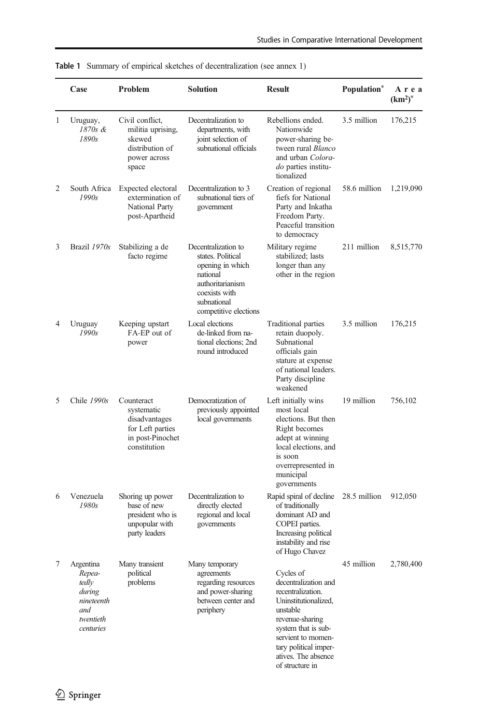|   | Case                                                                                    | Problem                                                                                           | Solution                                                                                                                                              | <b>Result</b>                                                                                                                                                                                                                 | Population*  | Area<br>$(km2)$ * |
|---|-----------------------------------------------------------------------------------------|---------------------------------------------------------------------------------------------------|-------------------------------------------------------------------------------------------------------------------------------------------------------|-------------------------------------------------------------------------------------------------------------------------------------------------------------------------------------------------------------------------------|--------------|-------------------|
| 1 | Uruguay,<br>1870s &<br>1890s                                                            | Civil conflict,<br>militia uprising,<br>skewed<br>distribution of<br>power across<br>space        | Decentralization to<br>departments, with<br>joint selection of<br>subnational officials                                                               | Rebellions ended.<br>Nationwide<br>power-sharing be-<br>tween rural Blanco<br>and urban Colora-<br><i>do</i> parties institu-<br>tionalized                                                                                   | 3.5 million  | 176,215           |
| 2 | South Africa<br>1990s                                                                   | Expected electoral<br>extermination of<br>National Party<br>post-Apartheid                        | Decentralization to 3<br>subnational tiers of<br>government                                                                                           | Creation of regional<br>fiefs for National<br>Party and Inkatha<br>Freedom Party.<br>Peaceful transition<br>to democracy                                                                                                      | 58.6 million | 1,219,090         |
| 3 | Brazil 1970s                                                                            | Stabilizing a de<br>facto regime                                                                  | Decentralization to<br>states. Political<br>opening in which<br>national<br>authoritarianism<br>coexists with<br>subnational<br>competitive elections | Military regime<br>stabilized; lasts<br>longer than any<br>other in the region                                                                                                                                                | 211 million  | 8,515,770         |
| 4 | Uruguay<br>1990s                                                                        | Keeping upstart<br>FA-EP out of<br>power                                                          | Local elections<br>de-linked from na-<br>tional elections; 2nd<br>round introduced                                                                    | Traditional parties<br>retain duopoly.<br>Subnational<br>officials gain<br>stature at expense<br>of national leaders.<br>Party discipline<br>weakened                                                                         | 3.5 million  | 176,215           |
| 5 | Chile 1990s                                                                             | Counteract<br>systematic<br>disadvantages<br>for Left parties<br>in post-Pinochet<br>constitution | Democratization of<br>previously appointed<br>local governments                                                                                       | Left initially wins<br>most local<br>elections. But then<br>Right becomes<br>adept at winning<br>local elections, and<br>is soon<br>overrepresented in<br>municipal<br>governments                                            | 19 million   | 756,102           |
| 6 | Venezuela<br>1980s                                                                      | Shoring up power<br>base of new<br>president who is<br>unpopular with<br>party leaders            | Decentralization to<br>directly elected<br>regional and local<br>governments                                                                          | Rapid spiral of decline<br>of traditionally<br>dominant AD and<br>COPEI parties.<br>Increasing political<br>instability and rise<br>of Hugo Chavez                                                                            | 28.5 million | 912,050           |
|   | 7 Argentina<br>Repea-<br>tedly<br>during<br>nineteenth<br>and<br>twentieth<br>centuries | Many transient<br>political<br>problems                                                           | Many temporary<br>agreements<br>regarding resources<br>and power-sharing<br>between center and<br>periphery                                           | Cycles of<br>decentralization and<br>recentralization.<br>Uninstitutionalized,<br>unstable<br>revenue-sharing<br>system that is sub-<br>servient to momen-<br>tary political imper-<br>atives. The absence<br>of structure in | 45 million   | 2,780,400         |

<span id="page-21-0"></span>Table 1 Summary of empirical sketches of decentralization (see annex 1)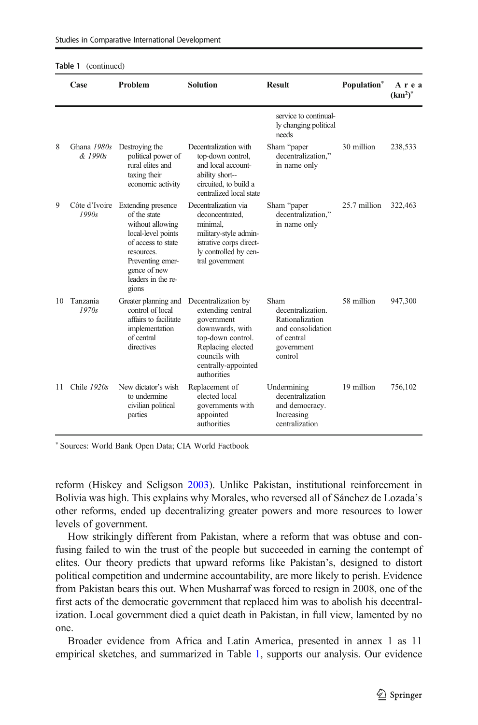|    | Case                   | Problem                                                                                                                                                                             | <b>Solution</b>                                                                                                                                                            | <b>Result</b>                                                                                            | Population <sup>*</sup> | Area<br>$(km^2)^*$ |
|----|------------------------|-------------------------------------------------------------------------------------------------------------------------------------------------------------------------------------|----------------------------------------------------------------------------------------------------------------------------------------------------------------------------|----------------------------------------------------------------------------------------------------------|-------------------------|--------------------|
|    |                        |                                                                                                                                                                                     |                                                                                                                                                                            | service to continual-<br>ly changing political<br>needs                                                  |                         |                    |
| 8  | Ghana 1980s<br>& 1990s | Destroying the<br>political power of<br>rural elites and<br>taxing their<br>economic activity                                                                                       | Decentralization with<br>top-down control,<br>and local account-<br>ability short-<br>circuited, to build a<br>centralized local state                                     | Sham "paper<br>decentralization,"<br>in name only                                                        | 30 million              | 238,533            |
| 9  | Côte d'Ivoire<br>1990s | Extending presence<br>of the state<br>without allowing<br>local-level points<br>of access to state<br>resources.<br>Preventing emer-<br>gence of new<br>leaders in the re-<br>gions | Decentralization via<br>deconcentrated.<br>minimal,<br>military-style admin-<br>istrative corps direct-<br>ly controlled by cen-<br>tral government                        | Sham "paper<br>decentralization."<br>in name only                                                        | 25.7 million            | 322,463            |
| 10 | Tanzania<br>1970s      | Greater planning and<br>control of local<br>affairs to facilitate<br>implementation<br>of central<br>directives                                                                     | Decentralization by<br>extending central<br>government<br>downwards, with<br>top-down control.<br>Replacing elected<br>councils with<br>centrally-appointed<br>authorities | Sham<br>decentralization.<br>Rationalization<br>and consolidation<br>of central<br>government<br>control | 58 million              | 947,300            |
| 11 | Chile $1920s$          | New dictator's wish<br>to undermine<br>civilian political<br>parties                                                                                                                | Replacement of<br>elected local<br>governments with<br>appointed<br>authorities                                                                                            | Undermining<br>decentralization<br>and democracy.<br>Increasing<br>centralization                        | 19 million              | 756,102            |

\* Sources: World Bank Open Data; CIA World Factbook

reform (Hiskey and Seligson [2003](#page-26-0)). Unlike Pakistan, institutional reinforcement in Bolivia was high. This explains why Morales, who reversed all of Sánchez de Lozada's other reforms, ended up decentralizing greater powers and more resources to lower levels of government.

How strikingly different from Pakistan, where a reform that was obtuse and confusing failed to win the trust of the people but succeeded in earning the contempt of elites. Our theory predicts that upward reforms like Pakistan's, designed to distort political competition and undermine accountability, are more likely to perish. Evidence from Pakistan bears this out. When Musharraf was forced to resign in 2008, one of the first acts of the democratic government that replaced him was to abolish his decentralization. Local government died a quiet death in Pakistan, in full view, lamented by no one.

Broader evidence from Africa and Latin America, presented in annex 1 as 11 empirical sketches, and summarized in Table [1](#page-21-0), supports our analysis. Our evidence

 $\mathcal{D}$  Springer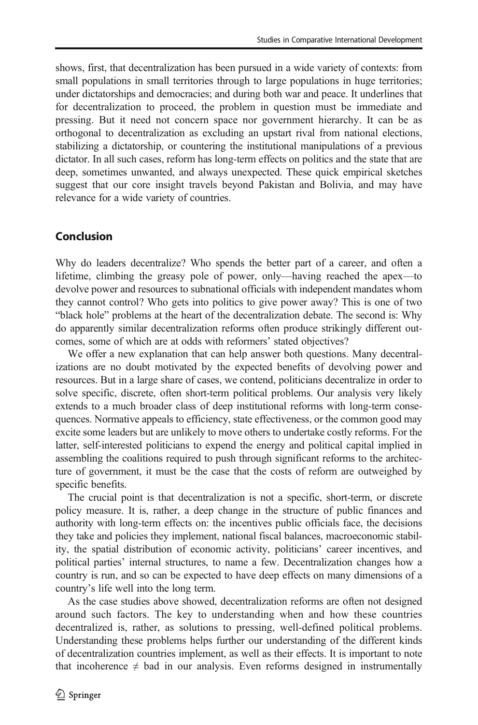<span id="page-23-0"></span>shows, first, that decentralization has been pursued in a wide variety of contexts: from small populations in small territories through to large populations in huge territories; under dictatorships and democracies; and during both war and peace. It underlines that for decentralization to proceed, the problem in question must be immediate and pressing. But it need not concern space nor government hierarchy. It can be as orthogonal to decentralization as excluding an upstart rival from national elections, stabilizing a dictatorship, or countering the institutional manipulations of a previous dictator. In all such cases, reform has long-term effects on politics and the state that are deep, sometimes unwanted, and always unexpected. These quick empirical sketches suggest that our core insight travels beyond Pakistan and Bolivia, and may have relevance for a wide variety of countries.

# Conclusion

Why do leaders decentralize? Who spends the better part of a career, and often a lifetime, climbing the greasy pole of power, only—having reached the apex—to devolve power and resources to subnational officials with independent mandates whom they cannot control? Who gets into politics to give power away? This is one of two "black hole" problems at the heart of the decentralization debate. The second is: Why do apparently similar decentralization reforms often produce strikingly different outcomes, some of which are at odds with reformers' stated objectives?

We offer a new explanation that can help answer both questions. Many decentralizations are no doubt motivated by the expected benefits of devolving power and resources. But in a large share of cases, we contend, politicians decentralize in order to solve specific, discrete, often short-term political problems. Our analysis very likely extends to a much broader class of deep institutional reforms with long-term consequences. Normative appeals to efficiency, state effectiveness, or the common good may excite some leaders but are unlikely to move others to undertake costly reforms. For the latter, self-interested politicians to expend the energy and political capital implied in assembling the coalitions required to push through significant reforms to the architecture of government, it must be the case that the costs of reform are outweighed by specific benefits.

The crucial point is that decentralization is not a specific, short-term, or discrete policy measure. It is, rather, a deep change in the structure of public finances and authority with long-term effects on: the incentives public officials face, the decisions they take and policies they implement, national fiscal balances, macroeconomic stability, the spatial distribution of economic activity, politicians' career incentives, and political parties' internal structures, to name a few. Decentralization changes how a country is run, and so can be expected to have deep effects on many dimensions of a country's life well into the long term.

As the case studies above showed, decentralization reforms are often not designed around such factors. The key to understanding when and how these countries decentralized is, rather, as solutions to pressing, well-defined political problems. Understanding these problems helps further our understanding of the different kinds of decentralization countries implement, as well as their effects. It is important to note that incoherence  $\neq$  bad in our analysis. Even reforms designed in instrumentally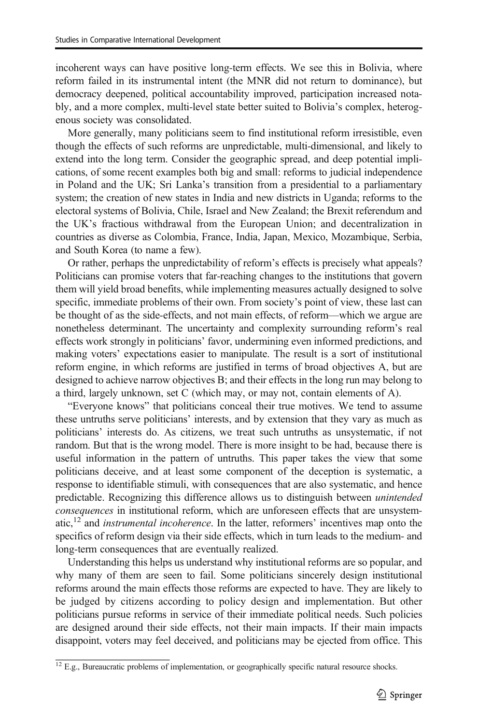incoherent ways can have positive long-term effects. We see this in Bolivia, where reform failed in its instrumental intent (the MNR did not return to dominance), but democracy deepened, political accountability improved, participation increased notably, and a more complex, multi-level state better suited to Bolivia's complex, heterogenous society was consolidated.

More generally, many politicians seem to find institutional reform irresistible, even though the effects of such reforms are unpredictable, multi-dimensional, and likely to extend into the long term. Consider the geographic spread, and deep potential implications, of some recent examples both big and small: reforms to judicial independence in Poland and the UK; Sri Lanka's transition from a presidential to a parliamentary system; the creation of new states in India and new districts in Uganda; reforms to the electoral systems of Bolivia, Chile, Israel and New Zealand; the Brexit referendum and the UK's fractious withdrawal from the European Union; and decentralization in countries as diverse as Colombia, France, India, Japan, Mexico, Mozambique, Serbia, and South Korea (to name a few).

Or rather, perhaps the unpredictability of reform's effects is precisely what appeals? Politicians can promise voters that far-reaching changes to the institutions that govern them will yield broad benefits, while implementing measures actually designed to solve specific, immediate problems of their own. From society's point of view, these last can be thought of as the side-effects, and not main effects, of reform—which we argue are nonetheless determinant. The uncertainty and complexity surrounding reform's real effects work strongly in politicians' favor, undermining even informed predictions, and making voters' expectations easier to manipulate. The result is a sort of institutional reform engine, in which reforms are justified in terms of broad objectives A, but are designed to achieve narrow objectives B; and their effects in the long run may belong to a third, largely unknown, set C (which may, or may not, contain elements of A).

"Everyone knows" that politicians conceal their true motives. We tend to assume these untruths serve politicians' interests, and by extension that they vary as much as politicians' interests do. As citizens, we treat such untruths as unsystematic, if not random. But that is the wrong model. There is more insight to be had, because there is useful information in the pattern of untruths. This paper takes the view that some politicians deceive, and at least some component of the deception is systematic, a response to identifiable stimuli, with consequences that are also systematic, and hence predictable. Recognizing this difference allows us to distinguish between unintended consequences in institutional reform, which are unforeseen effects that are unsystematic, $^{12}$  and *instrumental incoherence*. In the latter, reformers' incentives map onto the specifics of reform design via their side effects, which in turn leads to the medium- and long-term consequences that are eventually realized.

Understanding this helps us understand why institutional reforms are so popular, and why many of them are seen to fail. Some politicians sincerely design institutional reforms around the main effects those reforms are expected to have. They are likely to be judged by citizens according to policy design and implementation. But other politicians pursue reforms in service of their immediate political needs. Such policies are designed around their side effects, not their main impacts. If their main impacts disappoint, voters may feel deceived, and politicians may be ejected from office. This

 $12$  E.g., Bureaucratic problems of implementation, or geographically specific natural resource shocks.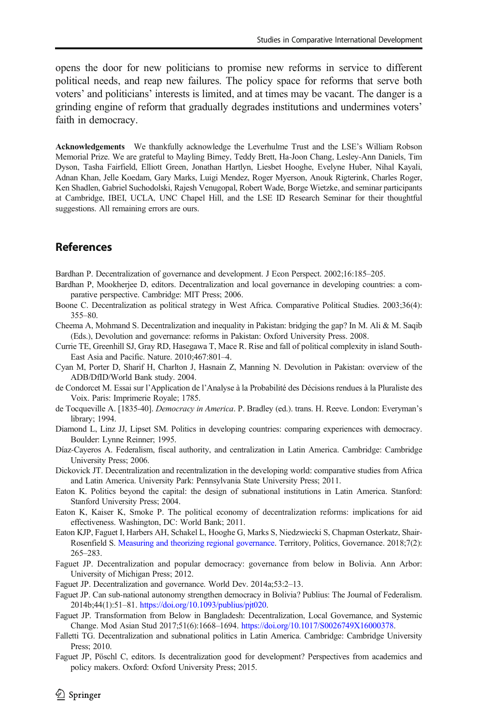<span id="page-25-0"></span>opens the door for new politicians to promise new reforms in service to different political needs, and reap new failures. The policy space for reforms that serve both voters' and politicians' interests is limited, and at times may be vacant. The danger is a grinding engine of reform that gradually degrades institutions and undermines voters' faith in democracy.

Acknowledgements We thankfully acknowledge the Leverhulme Trust and the LSE's William Robson Memorial Prize. We are grateful to Mayling Birney, Teddy Brett, Ha-Joon Chang, Lesley-Ann Daniels, Tim Dyson, Tasha Fairfield, Elliott Green, Jonathan Hartlyn, Liesbet Hooghe, Evelyne Huber, Nihal Kayali, Adnan Khan, Jelle Koedam, Gary Marks, Luigi Mendez, Roger Myerson, Anouk Rigterink, Charles Roger, Ken Shadlen, Gabriel Suchodolski, Rajesh Venugopal, Robert Wade, Borge Wietzke, and seminar participants at Cambridge, IBEI, UCLA, UNC Chapel Hill, and the LSE ID Research Seminar for their thoughtful suggestions. All remaining errors are ours.

# References

- Bardhan P. Decentralization of governance and development. J Econ Perspect. 2002;16:185–205.
- Bardhan P, Mookherjee D, editors. Decentralization and local governance in developing countries: a comparative perspective. Cambridge: MIT Press; 2006.
- Boone C. Decentralization as political strategy in West Africa. Comparative Political Studies. 2003;36(4): 355–80.
- Cheema A, Mohmand S. Decentralization and inequality in Pakistan: bridging the gap? In M. Ali & M. Saqib (Eds.), Devolution and governance: reforms in Pakistan: Oxford University Press. 2008.
- Currie TE, Greenhill SJ, Gray RD, Hasegawa T, Mace R. Rise and fall of political complexity in island South-East Asia and Pacific. Nature. 2010;467:801–4.
- Cyan M, Porter D, Sharif H, Charlton J, Hasnain Z, Manning N. Devolution in Pakistan: overview of the ADB/DfID/World Bank study. 2004.
- de Condorcet M. Essai sur l'Application de l'Analyse à la Probabilité des Décisions rendues à la Pluraliste des Voix. Paris: Imprimerie Royale; 1785.
- de Tocqueville A. [1835-40]. *Democracy in America*. P. Bradley (ed.). trans. H. Reeve. London: Everyman's library; 1994.
- Diamond L, Linz JJ, Lipset SM. Politics in developing countries: comparing experiences with democracy. Boulder: Lynne Reinner; 1995.
- Díaz-Cayeros A. Federalism, fiscal authority, and centralization in Latin America. Cambridge: Cambridge University Press; 2006.
- Dickovick JT. Decentralization and recentralization in the developing world: comparative studies from Africa and Latin America. University Park: Pennsylvania State University Press; 2011.
- Eaton K. Politics beyond the capital: the design of subnational institutions in Latin America. Stanford: Stanford University Press; 2004.
- Eaton K, Kaiser K, Smoke P. The political economy of decentralization reforms: implications for aid effectiveness. Washington, DC: World Bank; 2011.
- Eaton KJP, Faguet I, Harbers AH, Schakel L, Hooghe G, Marks S, Niedzwiecki S, Chapman Osterkatz, Shair-Rosenfield S. [Measuring and theorizing regional governance.](http://eprints.lse.ac.uk/100897/) Territory, Politics, Governance. 2018;7(2): 265–283.
- Faguet JP. Decentralization and popular democracy: governance from below in Bolivia. Ann Arbor: University of Michigan Press; 2012.
- Faguet JP. Decentralization and governance. World Dev. 2014a;53:2–13.
- Faguet JP. Can sub-national autonomy strengthen democracy in Bolivia? Publius: The Journal of Federalism. 2014b;44(1):51–81. [https://doi.org/10.1093/publius/pjt020.](https://doi.org/10.1093/publius/pjt020)
- Faguet JP. Transformation from Below in Bangladesh: Decentralization, Local Governance, and Systemic Change. Mod Asian Stud 2017;51(6):1668–1694. <https://doi.org/10.1017/S0026749X16000378>.
- Falletti TG. Decentralization and subnational politics in Latin America. Cambridge: Cambridge University Press; 2010.
- Faguet JP, Pöschl C, editors. Is decentralization good for development? Perspectives from academics and policy makers. Oxford: Oxford University Press; 2015.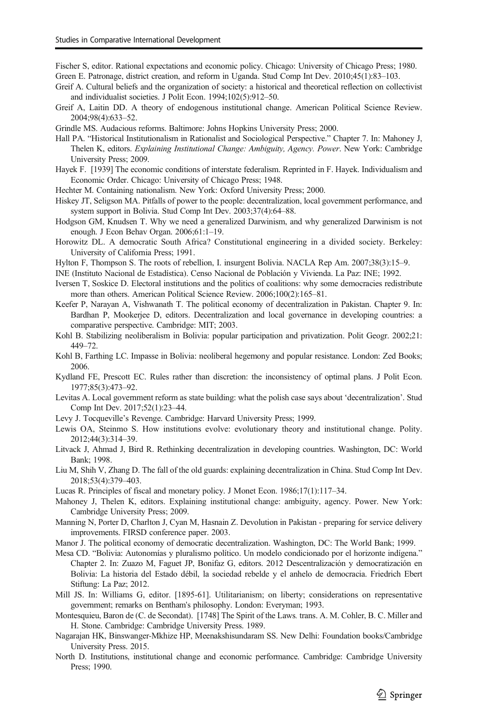<span id="page-26-0"></span>Fischer S, editor. Rational expectations and economic policy. Chicago: University of Chicago Press; 1980.

Green E. Patronage, district creation, and reform in Uganda. Stud Comp Int Dev. 2010;45(1):83–103.

- Greif A. Cultural beliefs and the organization of society: a historical and theoretical reflection on collectivist and individualist societies. J Polit Econ. 1994;102(5):912–50.
- Greif A, Laitin DD. A theory of endogenous institutional change. American Political Science Review. 2004;98(4):633–52.
- Grindle MS. Audacious reforms. Baltimore: Johns Hopkins University Press; 2000.
- Hall PA. "Historical Institutionalism in Rationalist and Sociological Perspective." Chapter 7. In: Mahoney J, Thelen K, editors. Explaining Institutional Change: Ambiguity, Agency. Power. New York: Cambridge University Press; 2009.
- Hayek F. [1939] The economic conditions of interstate federalism. Reprinted in F. Hayek. Individualism and Economic Order. Chicago: University of Chicago Press; 1948.
- Hechter M. Containing nationalism. New York: Oxford University Press; 2000.
- Hiskey JT, Seligson MA. Pitfalls of power to the people: decentralization, local government performance, and system support in Bolivia. Stud Comp Int Dev. 2003;37(4):64–88.
- Hodgson GM, Knudsen T. Why we need a generalized Darwinism, and why generalized Darwinism is not enough. J Econ Behav Organ. 2006;61:1–19.
- Horowitz DL. A democratic South Africa? Constitutional engineering in a divided society. Berkeley: University of California Press; 1991.
- Hylton F, Thompson S. The roots of rebellion, I. insurgent Bolivia. NACLA Rep Am. 2007;38(3):15–9.
- INE (Instituto Nacional de Estadística). Censo Nacional de Población y Vivienda. La Paz: INE; 1992.
- Iversen T, Soskice D. Electoral institutions and the politics of coalitions: why some democracies redistribute more than others. American Political Science Review. 2006;100(2):165–81.
- Keefer P, Narayan A, Vishwanath T. The political economy of decentralization in Pakistan. Chapter 9. In: Bardhan P, Mookerjee D, editors. Decentralization and local governance in developing countries: a comparative perspective. Cambridge: MIT; 2003.
- Kohl B. Stabilizing neoliberalism in Bolivia: popular participation and privatization. Polit Geogr. 2002;21: 449–72.
- Kohl B, Farthing LC. Impasse in Bolivia: neoliberal hegemony and popular resistance. London: Zed Books; 2006.
- Kydland FE, Prescott EC. Rules rather than discretion: the inconsistency of optimal plans. J Polit Econ. 1977;85(3):473–92.
- Levitas A. Local government reform as state building: what the polish case says about 'decentralization'. Stud Comp Int Dev. 2017;52(1):23–44.
- Levy J. Tocqueville's Revenge. Cambridge: Harvard University Press; 1999.
- Lewis OA, Steinmo S. How institutions evolve: evolutionary theory and institutional change. Polity. 2012;44(3):314–39.
- Litvack J, Ahmad J, Bird R. Rethinking decentralization in developing countries. Washington, DC: World Bank; 1998.
- Liu M, Shih V, Zhang D. The fall of the old guards: explaining decentralization in China. Stud Comp Int Dev. 2018;53(4):379–403.
- Lucas R. Principles of fiscal and monetary policy. J Monet Econ. 1986;17(1):117–34.
- Mahoney J, Thelen K, editors. Explaining institutional change: ambiguity, agency. Power. New York: Cambridge University Press; 2009.
- Manning N, Porter D, Charlton J, Cyan M, Hasnain Z. Devolution in Pakistan preparing for service delivery improvements. FIRSD conference paper. 2003.
- Manor J. The political economy of democratic decentralization. Washington, DC: The World Bank; 1999.
- Mesa CD. "Bolivia: Autonomías y pluralismo político. Un modelo condicionado por el horizonte indígena." Chapter 2. In: Zuazo M, Faguet JP, Bonifaz G, editors. 2012 Descentralización y democratización en Bolivia: La historia del Estado débil, la sociedad rebelde y el anhelo de democracia. Friedrich Ebert Stiftung: La Paz; 2012.
- Mill JS. In: Williams G, editor. [1895-61]. Utilitarianism; on liberty; considerations on representative government; remarks on Bentham's philosophy. London: Everyman; 1993.
- Montesquieu, Baron de (C. de Secondat). [1748] The Spirit of the Laws. trans. A. M. Cohler, B. C. Miller and H. Stone. Cambridge: Cambridge University Press. 1989.
- Nagarajan HK, Binswanger-Mkhize HP, Meenakshisundaram SS. New Delhi: Foundation books/Cambridge University Press. 2015.
- North D. Institutions, institutional change and economic performance. Cambridge: Cambridge University Press; 1990.